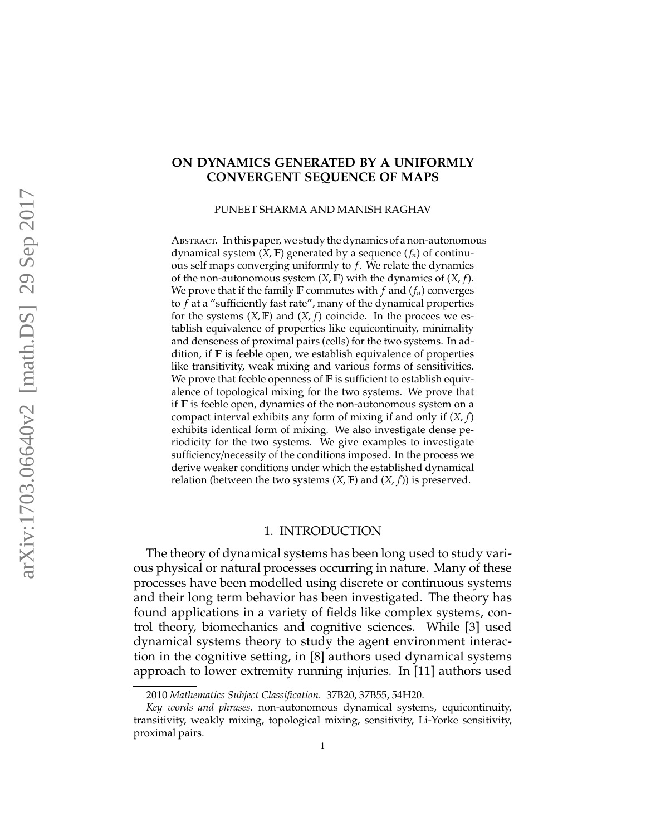# **ON DYNAMICS GENERATED BY A UNIFORMLY CONVERGENT SEQUENCE OF MAPS**

PUNEET SHARMA AND MANISH RAGHAV

ABSTRACT. In this paper, we study the dynamics of a non-autonomous dynamical system (*X*, F) generated by a sequence (*fn*) of continuous self maps converging uniformly to *f*. We relate the dynamics of the non-autonomous system (*X*, F) with the dynamics of (*X*, *f*). We prove that if the family  $\mathbb F$  commutes with  $f$  and  $(f_n)$  converges to *f* at a "sufficiently fast rate", many of the dynamical properties for the systems  $(X, F)$  and  $(X, f)$  coincide. In the procees we establish equivalence of properties like equicontinuity, minimality and denseness of proximal pairs (cells) for the two systems. In addition, if F is feeble open, we establish equivalence of properties like transitivity, weak mixing and various forms of sensitivities. We prove that feeble openness of  $F$  is sufficient to establish equivalence of topological mixing for the two systems. We prove that if F is feeble open, dynamics of the non-autonomous system on a compact interval exhibits any form of mixing if and only if (*X*, *f*) exhibits identical form of mixing. We also investigate dense periodicity for the two systems. We give examples to investigate sufficiency/necessity of the conditions imposed. In the process we derive weaker conditions under which the established dynamical relation (between the two systems  $(X, F)$  and  $(X, f)$ ) is preserved.

#### 1. INTRODUCTION

The theory of dynamical systems has been long used to study various physical or natural processes occurring in nature. Many of these processes have been modelled using discrete or continuous systems and their long term behavior has been investigated. The theory has found applications in a variety of fields like complex systems, control theory, biomechanics and cognitive sciences. While [3] used dynamical systems theory to study the agent environment interaction in the cognitive setting, in [8] authors used dynamical systems approach to lower extremity running injuries. In [11] authors used

<sup>2010</sup> *Mathematics Subject Classification.* 37B20, 37B55, 54H20.

*Key words and phrases.* non-autonomous dynamical systems, equicontinuity, transitivity, weakly mixing, topological mixing, sensitivity, Li-Yorke sensitivity, proximal pairs.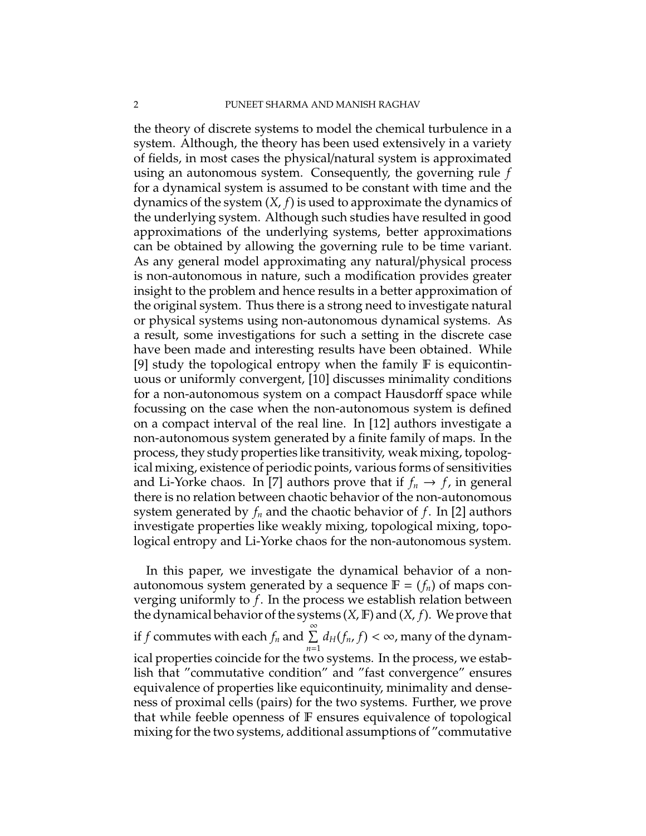the theory of discrete systems to model the chemical turbulence in a system. Although, the theory has been used extensively in a variety of fields, in most cases the physical/natural system is approximated using an autonomous system. Consequently, the governing rule *f* for a dynamical system is assumed to be constant with time and the dynamics of the system (*X*, *f*) is used to approximate the dynamics of the underlying system. Although such studies have resulted in good approximations of the underlying systems, better approximations can be obtained by allowing the governing rule to be time variant. As any general model approximating any natural/physical process is non-autonomous in nature, such a modification provides greater insight to the problem and hence results in a better approximation of the original system. Thus there is a strong need to investigate natural or physical systems using non-autonomous dynamical systems. As a result, some investigations for such a setting in the discrete case have been made and interesting results have been obtained. While [9] study the topological entropy when the family  $F$  is equicontinuous or uniformly convergent, [10] discusses minimality conditions for a non-autonomous system on a compact Hausdorff space while focussing on the case when the non-autonomous system is defined on a compact interval of the real line. In [12] authors investigate a non-autonomous system generated by a finite family of maps. In the process, they study properties like transitivity, weak mixing, topological mixing, existence of periodic points, various forms of sensitivities and Li-Yorke chaos. In [7] authors prove that if  $f_n \to f$ , in general there is no relation between chaotic behavior of the non-autonomous system generated by *f<sup>n</sup>* and the chaotic behavior of *f*. In [2] authors investigate properties like weakly mixing, topological mixing, topological entropy and Li-Yorke chaos for the non-autonomous system.

In this paper, we investigate the dynamical behavior of a nonautonomous system generated by a sequence  $\mathbb{F} = (f_n)$  of maps converging uniformly to *f*. In the process we establish relation between the dynamical behavior of the systems (*X*, F) and (*X*, *f*). We prove that if *f* commutes with each  $f_n$  and  $\sum^{\infty}$ *n*=1  $d_H(f_n, f) < \infty$ , many of the dynamical properties coincide for the two systems. In the process, we establish that "commutative condition" and "fast convergence" ensures equivalence of properties like equicontinuity, minimality and denseness of proximal cells (pairs) for the two systems. Further, we prove that while feeble openness of F ensures equivalence of topological mixing for the two systems, additional assumptions of "commutative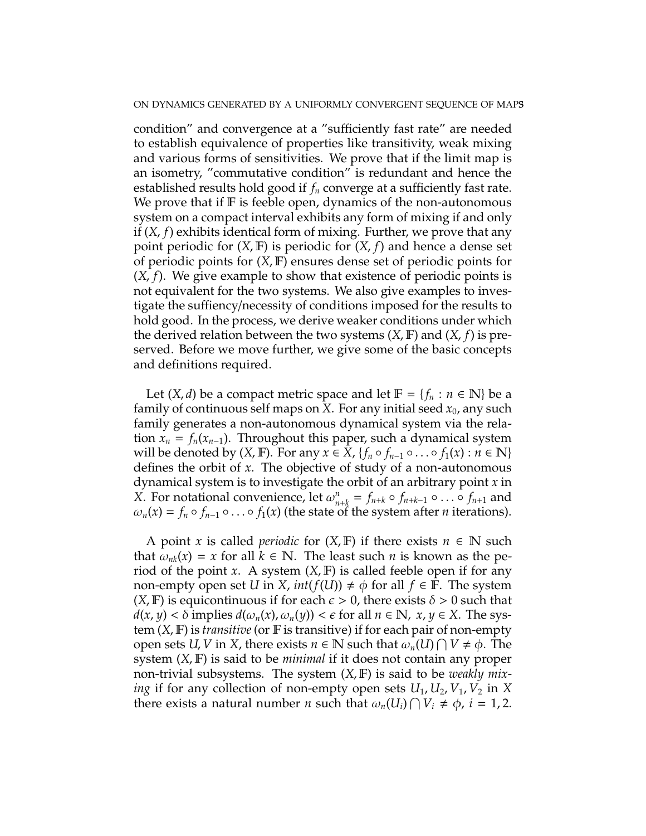condition" and convergence at a "sufficiently fast rate" are needed to establish equivalence of properties like transitivity, weak mixing and various forms of sensitivities. We prove that if the limit map is an isometry, "commutative condition" is redundant and hence the established results hold good if *f<sup>n</sup>* converge at a sufficiently fast rate. We prove that if  $F$  is feeble open, dynamics of the non-autonomous system on a compact interval exhibits any form of mixing if and only if (*X*, *f*) exhibits identical form of mixing. Further, we prove that any point periodic for (*X*, F) is periodic for (*X*, *f*) and hence a dense set of periodic points for (*X*, F) ensures dense set of periodic points for (*X*, *f*). We give example to show that existence of periodic points is not equivalent for the two systems. We also give examples to investigate the suffiency/necessity of conditions imposed for the results to hold good. In the process, we derive weaker conditions under which the derived relation between the two systems (*X*, F) and (*X*, *f*) is preserved. Before we move further, we give some of the basic concepts and definitions required.

Let  $(X, d)$  be a compact metric space and let  $F = \{f_n : n \in \mathbb{N}\}\)$  be a family of continuous self maps on *X*. For any initial seed  $x_0$ , any such family generates a non-autonomous dynamical system via the relation  $x_n = f_n(x_{n-1})$ . Throughout this paper, such a dynamical system will be denoted by  $(X, \mathbb{F})$ . For any  $x \in X$ ,  $\{f_n \circ f_{n-1} \circ \dots \circ f_1(x) : n \in \mathbb{N}\}\$ defines the orbit of *x*. The objective of study of a non-autonomous dynamical system is to investigate the orbit of an arbitrary point *x* in *X*. For notational convenience, let  $\omega_{n+k}^n = f_{n+k} \circ f_{n+k-1} \circ \dots \circ f_{n+1}$  and  $\omega_n(x) = f_n \circ f_{n-1} \circ \ldots \circ f_1(x)$  (the state of the system after *n* iterations).

A point *x* is called *periodic* for  $(X, F)$  if there exists  $n \in \mathbb{N}$  such that  $\omega_{nk}(x) = x$  for all  $k \in \mathbb{N}$ . The least such *n* is known as the period of the point *x*. A system  $(X, \mathbb{F})$  is called feeble open if for any non-empty open set *U* in *X*,  $int(f(U)) \neq \phi$  for all  $f \in \mathbb{F}$ . The system  $(X, \mathbb{F})$  is equicontinuous if for each  $\epsilon > 0$ , there exists  $\delta > 0$  such that  $d(x, y) < \delta$  implies  $d(\omega_n(x), \omega_n(y)) < \epsilon$  for all  $n \in \mathbb{N}$ ,  $x, y \in X$ . The system (*X*, F) is *transitive* (or F is transitive) if for each pair of non-empty open sets *U*, *V* in *X*, there exists  $n \in \mathbb{N}$  such that  $\omega_n(U) \cap V \neq \phi$ . The system (*X*, F) is said to be *minimal* if it does not contain any proper non-trivial subsystems. The system (*X*, F) is said to be *weakly mixing* if for any collection of non-empty open sets  $U_1, U_2, V_1, V_2$  in X there exists a natural number *n* such that  $\omega_n(U_i) \cap V_i \neq \phi$ ,  $i = 1, 2$ .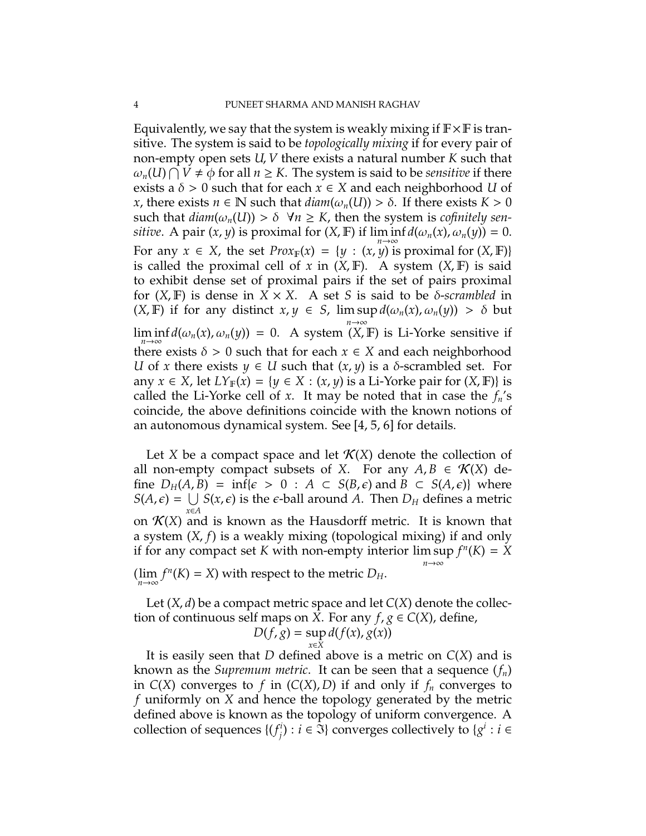Equivalently, we say that the system is weakly mixing if  $\mathbb{F} \times \mathbb{F}$  is transitive. The system is said to be *topologically mixing* if for every pair of non-empty open sets *U*, *V* there exists a natural number *K* such that  $\omega_n(U) \cap V \neq \phi$  for all  $n \geq K$ . The system is said to be *sensitive* if there exists a  $\delta > 0$  such that for each  $x \in X$  and each neighborhood *U* of *x*, there exists  $n \in \mathbb{N}$  such that  $diam(\omega_n(U)) > \delta$ . If there exists  $K > 0$ such that  $diam(\omega_n(U)) > \delta \ \forall n \geq K$ , then the system is *cofinitely sensitive*. A pair  $(x, y)$  is proximal for  $(X, \mathbb{F})$  if  $\liminf d(\omega_n(x), \omega_n(y)) = 0$ . For any  $x \in X$ , the set  $Prox_{\mathbb{F}}(x) = \{y : (x, y) \text{ is proximal for } (X, \mathbb{F})\}$ is called the proximal cell of  $x$  in  $(X, \mathbb{F})$ . A system  $(X, \mathbb{F})$  is said to exhibit dense set of proximal pairs if the set of pairs proximal for  $(X, F)$  is dense in  $X \times X$ . A set *S* is said to be  $\delta$ -*scrambled* in  $(X, \mathbb{F})$  if for any distinct  $x, y \in S$ ,  $\limsup d(\omega_n(x), \omega_n(y)) > \delta$  but *n*→∞  $\liminf_{n\to\infty} d(\omega_n(x), \omega_n(y)) = 0$ . A system  $(X, \mathbb{F})$  is Li-Yorke sensitive if there exists  $\delta > 0$  such that for each  $x \in X$  and each neighborhood *U* of *x* there exists  $y \in U$  such that  $(x, y)$  is a  $\delta$ -scrambled set. For any  $x \in X$ , let  $LY_{\mathbb{F}}(x) = \{y \in X : (x, y) \text{ is a Li-Yorke pair for } (X, \mathbb{F})\}$  is called the Li-Yorke cell of *x*. It may be noted that in case the  $f_n$ 's coincide, the above definitions coincide with the known notions of an autonomous dynamical system. See [4, 5, 6] for details.

Let *X* be a compact space and let  $\mathcal{K}(X)$  denote the collection of all non-empty compact subsets of *X*. For any  $A, B \in \mathcal{K}(X)$  define  $D_H(A, B) = \inf \{ \epsilon > 0 : A \subset S(B, \epsilon) \text{ and } B \subset S(A, \epsilon) \}$  where  $S(A,\epsilon) = \bigcup S(x,\epsilon)$  is the  $\epsilon$ -ball around *A*. Then  $D_H$  defines a metric *x*∈*A* on  $K(X)$  and is known as the Hausdorff metric. It is known that a system (*X*, *f*) is a weakly mixing (topological mixing) if and only if for any compact set *K* with non-empty interior  $\limsup f^{n}(K) = X$ *n*→∞  $(\lim_{n\to\infty} f^n(K) = X)$  with respect to the metric  $D_H$ .

Let (*X*, *d*) be a compact metric space and let *C*(*X*) denote the collection of continuous self maps on *X*. For any  $f, g \in C(X)$ , define,

$$
D(f, g) = \sup_{x \in X} d(f(x), g(x))
$$

It is easily seen that *D* defined above is a metric on *C*(*X*) and is known as the *Supremum metric*. It can be seen that a sequence (*fn*) in  $C(X)$  converges to *f* in  $(C(X), D)$  if and only if  $f_n$  converges to *f* uniformly on *X* and hence the topology generated by the metric defined above is known as the topology of uniform convergence. A collection of sequences {(*f i*  $\hat{y}$  : *i*  $\in \mathfrak{I}$  converges collectively to  $\{g^i : i \in \mathfrak{I}\}$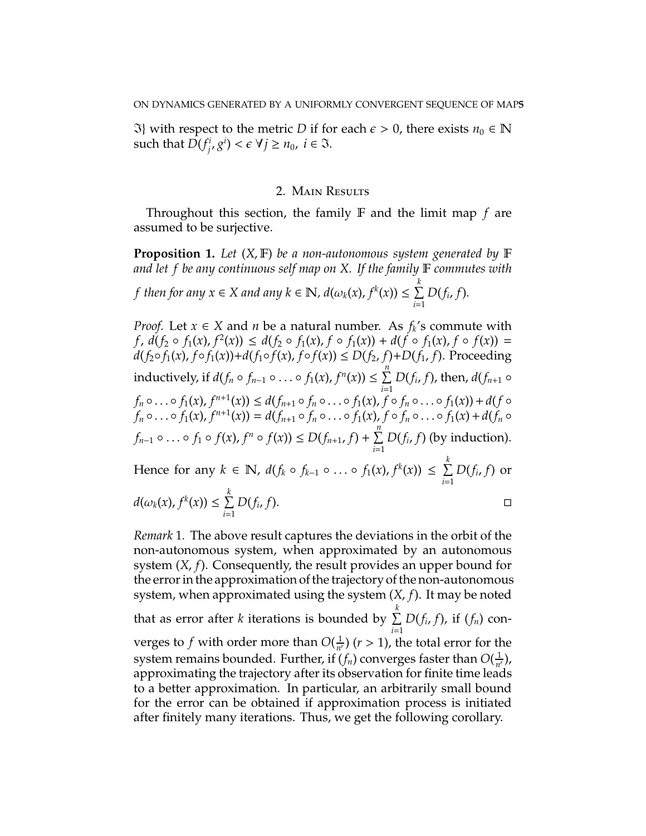$\Im$ } with respect to the metric *D* if for each  $\epsilon$  > 0, there exists *n*<sub>0</sub> ∈ N such that  $D(f_i^i)$  $\mathcal{F}_i^i$ ,  $g^i$ ) <  $\epsilon \ \forall j \geq n_0$ ,  $i \in \mathfrak{I}$ .

# 2. Main Results

Throughout this section, the family F and the limit map *f* are assumed to be surjective.

**Proposition 1.** *Let* (*X*, F) *be a non-autonomous system generated by* F *and let f be any continuous self map on X. If the family* F *commutes with*

*f* then for any 
$$
x \in X
$$
 and any  $k \in \mathbb{N}$ ,  $d(\omega_k(x), f^k(x)) \le \sum_{i=1}^k D(f_i, f)$ .

*Proof.* Let  $x \in X$  and  $n$  be a natural number. As  $f_k$ 's commute with  $f, d(f_2 \circ f_1(x), f^2(x)) \leq d(f_2 \circ f_1(x), f \circ f_1(x)) + d(f \circ f_1(x), f \circ f(x)) =$ *d*(*f*<sub>2</sub>◦ *f*<sub>1</sub>(*x*), *f*◦ *f*<sub>1</sub>(*x*))+*d*(*f*<sub>1</sub>◦ *f*(*x*), *f*◦ *f*(*x*)) ≤ *D*(*f*<sub>2</sub>, *f*)+*D*(*f*<sub>1</sub>, *f*). Proceeding inductively, if  $d(f_n \circ f_{n-1} \circ \ldots \circ f_1(x), f^n(x)) \leq \sum^n D(f_i, f)$ , then,  $d(f_{n+1} \circ f_n)$ *i*=1  $f_n \circ \ldots \circ f_1(x)$ ,  $f^{n+1}(x)$ )  $\leq d(f_{n+1} \circ f_n \circ \ldots \circ f_1(x)$ ,  $f \circ f_n \circ \ldots \circ f_1(x)$ ) +  $d(f \circ f_n \circ \ldots \circ f_1(x))$  $f_n \circ \ldots \circ f_1(x)$ ,  $f^{n+1}(x) = d(f_{n+1} \circ f_n \circ \ldots \circ f_1(x)$ ,  $f \circ f_n \circ \ldots \circ f_1(x) + d(f_n \circ f_n)$  $f_{n-1} \circ \ldots \circ f_1 \circ f(x)$ ,  $f^n \circ f(x) \le D(f_{n+1}, f) + \sum_{n=1}^n f_n$ *i*=1  $D(f_i, f)$  (by induction). Hence for any  $k \in \mathbb{N}$ ,  $d(f_k \circ f_{k-1} \circ \ldots \circ f_1(x), f^k(x)) \leq \sum_{k=1}^k f_k(x)$ *i*=1  $D(f_i, f)$  or *k*

$$
d(\omega_k(x), f^k(x)) \leq \sum_{i=1}^k D(f_i, f).
$$

*Remark* 1*.* The above result captures the deviations in the orbit of the non-autonomous system, when approximated by an autonomous system (*X*, *f*). Consequently, the result provides an upper bound for the error in the approximation of the trajectory of the non-autonomous system, when approximated using the system (*X*, *f*). It may be noted that as error after *k* iterations is bounded by  $\sum^k$ *i*=1 *D*(*f<sup>i</sup>* , *f*), if (*fn*) converges to f with order more than  $O(\frac{1}{n})$  $\frac{1}{n^r}$ ) (*r* > 1), the total error for the system remains bounded. Further, if  $(f_n)$  converges faster than  $O(\frac{1}{n^{n}})$  $\frac{1}{n^r}$ ), approximating the trajectory after its observation for finite time leads to a better approximation. In particular, an arbitrarily small bound for the error can be obtained if approximation process is initiated after finitely many iterations. Thus, we get the following corollary.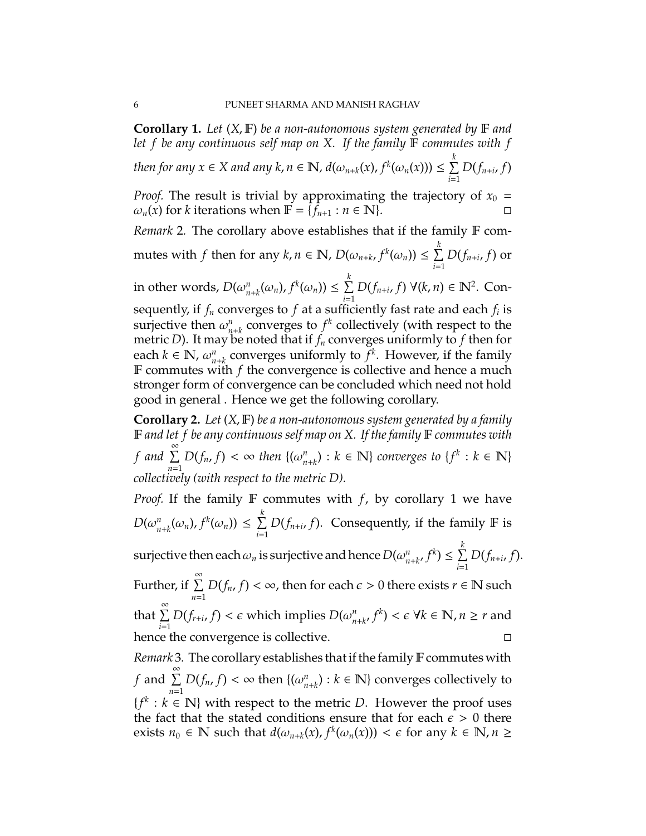**Corollary 1.** *Let* (*X*, F) *be a non-autonomous system generated by* F *and let f be any continuous self map on X. If the family* F *commutes with f then for any*  $x \in X$  *and any k,*  $n \in \mathbb{N}$ *,*  $d(\omega_{n+k}(x), f^k(\omega_n(x))) \leq \sum_{k=1}^k d(k)$ *i*=1 *D*(*fn*+*<sup>i</sup>* , *f*) *Proof.* The result is trivial by approximating the trajectory of  $x_0 =$  $\omega_n(x)$  for *k* iterations when  $\mathbb{F} = \{f_{n+1} : n \in \mathbb{N}\}.$ *Remark* 2*.* The corollary above establishes that if the family F commutes with *f* then for any  $k, n \in \mathbb{N}$ ,  $D(\omega_{n+k}, f^k(\omega_n)) \leq \sum_{k=1}^k p^k$ *i*=1 *D*(*fn*+*<sup>i</sup>* , *f*) or in other words,  $D(\omega_{n+k}^n(\omega_n), f^k(\omega_n)) \leq \sum_{i=1}^k$ *i*=1 *D*( $f_{n+i}$ ,  $f$ ) ∀( $k$ ,  $n$ ) ∈  $\mathbb{N}^2$ . Consequently, if *f<sup>n</sup>* converges to *f* at a sufficiently fast rate and each *f<sup>i</sup>* is surjective then  $\omega_n^n$  $n_{n+k}$  converges to  $f^k$  collectively (with respect to the metric *D*). It may be noted that if  $f_n$  converges uniformly to f then for each  $k \in \mathbb{N}$ ,  $\omega_n^n$  $n_{n+k}$  converges uniformly to  $f^k$ . However, if the family F commutes with *f* the convergence is collective and hence a much stronger form of convergence can be concluded which need not hold good in general . Hence we get the following corollary. **Corollary 2.** *Let* (*X*, F) *be a non-autonomous system generated by a family* F *and let f be any continuous self map on X. If the family* F *commutes with*

*f* and  $\sum^{\infty}$ *n*=1  $D(f_n, f) < \infty$  then  $\{(\omega_{n+k}^n) : k \in \mathbb{N}\}\$  *converges to*  $\{f^k : k \in \mathbb{N}\}\$ *collectively (with respect to the metric D).*

*Proof.* If the family F commutes with *f*, by corollary 1 we have  $D(\omega_n^n)$  $\sum_{n+k}^{n} (\omega_n)$ ,  $f^k(\omega_n)$ )  $\leq \sum_{k=1}^{k}$ *i*=1  $D(f_{n+i}, f)$ . Consequently, if the family **F** is

surjective then each  $\omega_n$  is surjective and hence  $D(\omega_{n+k}^n, f^k) \leq \sum_{i=1}^k$ *i*=1 *D*(*fn*+*<sup>i</sup>* , *f*).

Further, if  $\sum^{\infty}$ *n*=1  $D(f_n, f) < \infty$ , then for each  $\epsilon > 0$  there exists  $r \in \mathbb{N}$  such that  $\sum^{\infty}$ *i*=1 *D*(*f*<sub>*r*+*i*</sub>,*f*) < *e* which implies *D*( $\omega_{n+k}^n$ ,  $f^k$ ) <  $\epsilon$  ∀ $k \in \mathbb{N}$ ,  $n \geq r$  and

hence the convergence is collective.  $\Box$ 

*Remark* 3. The corollary establishes that if the family F commutes with *f* and  $\sum_{n=1}^{\infty}$ *n*=1  $D(f_n, f) < \infty$  then  $\{(\omega_n^n)$  $\binom{n}{n+k}$ :  $k \in \mathbb{N}$  converges collectively to  ${f^k : k \in \mathbb{N}}$  with respect to the metric *D*. However the proof uses the fact that the stated conditions ensure that for each  $\epsilon > 0$  there exists  $n_0 \in \mathbb{N}$  such that  $d(\omega_{n+k}(x), f^k(\omega_n(x))) < \epsilon$  for any  $k \in \mathbb{N}, n \ge$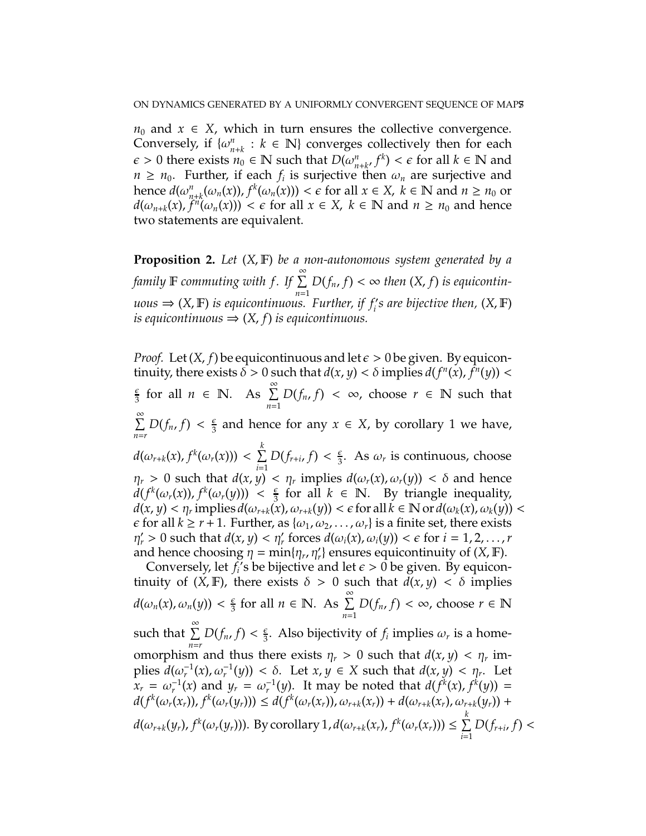$n_0$  and  $x \in X$ , which in turn ensures the collective convergence. Conversely, if  $\{\omega_n^n\}$  $h_{n+k}$  : *k* ∈ N} converges collectively then for each  $\epsilon > 0$  there exists  $n_0 \in \mathbb{N}$  such that  $D(\omega_n^n)$  $\sum_{n+k'}^{n} f^{k}$  <  $\epsilon$  for all  $k \in \mathbb{N}$  and  $n \geq n_0$ . Further, if each  $f_i$  is surjective then  $\omega_n$  are surjective and hence  $d(\omega_{n+k}^n(\omega_n(x)), f^k(\omega_n(x))) < \epsilon$  for all  $x \in X$ ,  $k \in \mathbb{N}$  and  $n \ge n_0$  or  $d(\omega_{n+k}(x), f^n(\omega_n(x))) < \epsilon$  for all  $x \in X$ ,  $k \in \mathbb{N}$  and  $n \geq n_0$  and hence two statements are equivalent.

**Proposition 2.** *Let* (*X*, F) *be a non-autonomous system generated by a family* <sup>F</sup> *commuting with f . If* <sup>P</sup><sup>∞</sup> *n*=1  $D(f_n, f) < \infty$  then  $(X, f)$  is equicontin $uous \Rightarrow (X, \mathbb{F})$  *is equicontinuous. Further, if*  $f_i$ *'s are bijective then,*  $(X, \mathbb{F})$ *is equicontinuous*  $\Rightarrow$   $(X, f)$  *is equicontinuous.* 

*Proof.* Let  $(X, f)$  be equicontinuous and let  $\epsilon > 0$  be given. By equicontinuity, there exists  $\delta > 0$  such that  $d(x, y) < \delta$  implies  $d(f^n(x), f^n(y)) < \delta$ ǫ  $\frac{\epsilon}{3}$  for all  $n \in \mathbb{N}$ . As  $\sum_{n=1}^{\infty}$ *n*=1  $D(f_n, f) < \infty$ , choose  $r \in \mathbb{N}$  such that  $\sum^{\infty}$  $\sum_{n=r} D(f_n, f) < \frac{\epsilon}{3}$  $\frac{\epsilon}{3}$  and hence for any  $x \in X$ , by corollary 1 we have,  $d(\omega_{r+k}(x), f^k(\omega_r(x))) < \sum_k^k$ *i*=1  $D(f_{r+i}, f) < \frac{\epsilon}{3}$  $\frac{\epsilon}{3}$ . As  $\omega_r$  is continuous, choose  $\eta_r > 0$  such that  $d(x, y) < \eta_r$  implies  $d(\omega_r(x), \omega_r(y)) < \delta$  and hence  $d(f^k(\omega_r(x)), f^k(\omega_r(y))) < \frac{\epsilon}{3}$  $\frac{2}{3}$  for all  $k \in \mathbb{N}$ . By triangle inequality,  $d(x, y) < \eta_r$  implies  $d(\omega_{r+k}(x), \omega_{r+k}(y)) < \epsilon$  for all  $k \in \mathbb{N}$  or  $d(\omega_k(x), \omega_k(y)) < \epsilon$  $\epsilon$  for all  $k \ge r + 1$ . Further, as  $\{\omega_1, \omega_2, \dots, \omega_r\}$  is a finite set, there exists  $\eta'_r > 0$  such that  $d(x, y) < \eta'_r$  forces  $d(\omega_i(x), \omega_i(y)) < \epsilon$  for  $i = 1, 2, ..., r$ and hence choosing  $\eta = \min\{\eta_r, \eta'_r\}$  ensures equicontinuity of  $(X, \mathbb{F})$ .

Conversely, let  $f_i$ 's be bijective and let  $\epsilon > 0$  be given. By equicontinuity of  $(X, F)$ , there exists  $\delta > 0$  such that  $\tilde{d}(x, y) < \delta$  implies  $d(\omega_n(x), \omega_n(y)) < \frac{\epsilon}{3}$  $\frac{\epsilon}{3}$  for all  $n \in \mathbb{N}$ . As  $\sum_{n=1}^{\infty}$ *n*=1 *D*( $f_n$ ,  $f$ ) < ∞, choose  $r \in \mathbb{N}$ such that  $\sum^{\infty}$  $\sum_{n=r} D(f_n, f) < \frac{\epsilon}{3}$  $\frac{\epsilon}{3}$ . Also bijectivity of  $f_i$  implies  $\omega_r$  is a homeomorphism and thus there exists  $\eta_r > 0$  such that  $d(x, y) < \eta_r$  implies  $d(\omega_r^{-1}(x), \omega_r^{-1}(y)) < \delta$ . Let  $x, y \in X$  such that  $d(x, y) < \eta_r$ . Let  $x_r = \omega_r^{-1}(x)$  and  $y_r = \omega_r^{-1}(y)$ . It may be noted that  $d(f^k(x), f^k(y)) =$  $d(f^k(\omega_r(x_r)), f^k(\omega_r(y_r))) \leq d(f^k(\omega_r(x_r)), \omega_{r+k}(x_r)) + d(\omega_{r+k}(x_r), \omega_{r+k}(y_r)) +$  $d(\omega_{r+k}(y_r), f^k(\omega_r(y_r))).$  By corollary 1,  $d(\omega_{r+k}(x_r), f^k(\omega_r(x_r))) \leq \sum_{r=1}^k \frac{1}{r}$ *i*=1  $D(f_{r+i}, f)$  <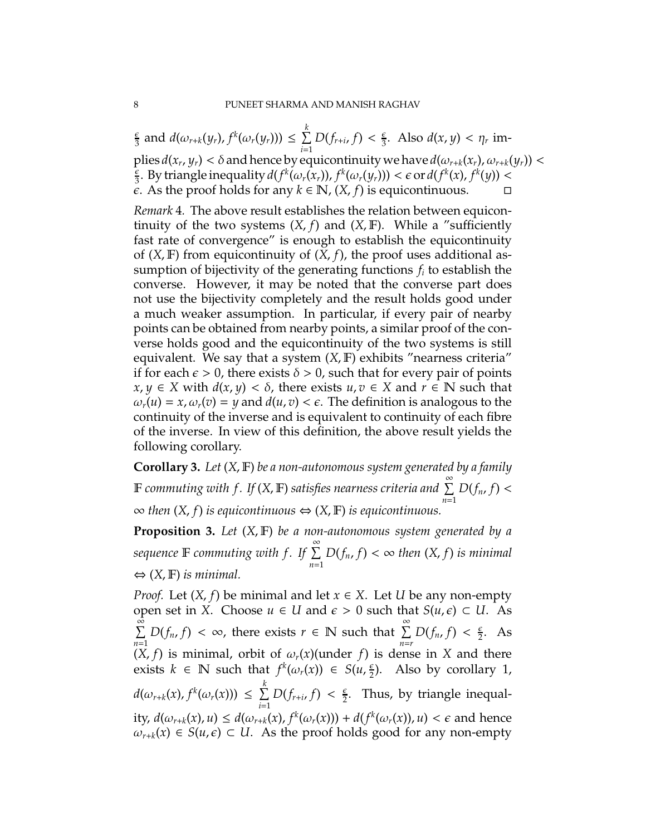ǫ  $\frac{\epsilon}{3}$  and  $d(\omega_{r+k}(y_r), f^k(\omega_r(y_r))) \leq \sum_{r=1}^k$ *i*=1  $D(f_{r+i}, f) < \frac{\epsilon}{3}$  $\frac{\epsilon}{3}$ . Also  $d(x, y) < \eta_r$  im $p$ lies  $d(x_r, y_r) < \delta$  and hence by equicontinuity we have  $d(\omega_{r+k}(x_r), \omega_{r+k}(y_r)) <$ ǫ  $\frac{\epsilon}{3}$ . By triangle inequality  $d(f^k(\omega_r(x_r)), f^k(\omega_r(y_r))) < \epsilon \text{ or } d(f^k(x), f^k(y)) < \epsilon$  $\epsilon$ . As the proof holds for any  $k \in \mathbb{N}$ ,  $(X, f)$  is equicontinuous.  $\Box$ 

*Remark* 4*.* The above result establishes the relation between equicontinuity of the two systems  $(X, f)$  and  $(X, F)$ . While a "sufficiently fast rate of convergence" is enough to establish the equicontinuity of  $(X, \mathbb{F})$  from equicontinuity of  $(X, f)$ , the proof uses additional assumption of bijectivity of the generating functions *f<sup>i</sup>* to establish the converse. However, it may be noted that the converse part does not use the bijectivity completely and the result holds good under a much weaker assumption. In particular, if every pair of nearby points can be obtained from nearby points, a similar proof of the converse holds good and the equicontinuity of the two systems is still equivalent. We say that a system  $(X, F)$  exhibits "nearness criteria" if for each  $\epsilon > 0$ , there exists  $\delta > 0$ , such that for every pair of points *x*, *y* ∈ *X* with *d*(*x*, *y*) <  $\delta$ , there exists *u*, *v* ∈ *X* and *r* ∈ **N** such that  $\omega_r(u) = x$ ,  $\omega_r(v) = y$  and  $d(u, v) < \epsilon$ . The definition is analogous to the continuity of the inverse and is equivalent to continuity of each fibre of the inverse. In view of this definition, the above result yields the following corollary.

**Corollary 3.** *Let* (*X*, F) *be a non-autonomous system generated by a family*  $\mathbb F$  commuting with f. If (X,  $\mathbb F$ ) satisfies nearness criteria and  $\stackrel{\infty}{\Sigma}$ *n*=1  $D(f_n, f)$ ∞ *then* (*X*, *f*) *is equicontinuous* ⇔ (*X*, F) *is equicontinuous.*

**Proposition 3.** *Let* (*X*, F) *be a non-autonomous system generated by a*  $\overline{\mathcal{S}}$  *sequence*  $\mathbb F$  *commuting with*  $f$ *.* If  $\sum^{\infty}$ *n*=1  $D(f_n, f) < \infty$  then  $(X, f)$  is minimal ⇔ (*X*, F) *is minimal.*

*Proof.* Let  $(X, f)$  be minimal and let  $x \in X$ . Let *U* be any non-empty open set in *X*. Choose  $u \in U$  and  $\varepsilon > 0$  such that  $S(u, \varepsilon) \subset U$ . As  $\bar{\hat{\Sigma}}$ *n*=1  $D(f_n, f) < \infty$ , there exists  $r \in \mathbb{N}$  such that  $\sum_{n=r}^{\infty} D(f_n, f) < \frac{\epsilon}{2}$  $\frac{\epsilon}{2}$ . As  $(X, f)$  is minimal, orbit of  $\omega_r(x)$ (under *f*) is dense in *X* and there exists  $k \in \mathbb{N}$  such that  $f^k(\omega_r(x)) \in S(u, \frac{\epsilon}{2})$  $\frac{\varepsilon}{2}$ ). Also by corollary 1,  $d(\omega_{r+k}(x), f^k(\omega_r(x))) \leq \sum_k^k$ *i*=1  $D(f_{r+i}, f) < \frac{\epsilon}{2}$  $\frac{\epsilon}{2}$ . Thus, by triangle inequality,  $d(\omega_{r+k}(x), u) \leq d(\omega_{r+k}(x), f^k(\omega_r(x))) + d(f^k(\omega_r(x)), u) < \epsilon$  and hence  $\omega_{r+k}(x) \in S(u,\epsilon) \subset U$ . As the proof holds good for any non-empty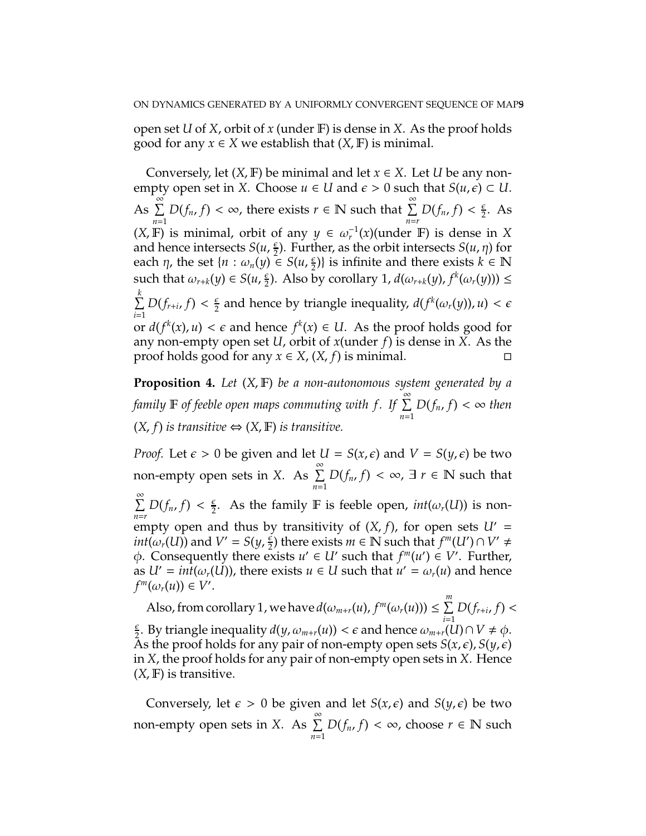open set *U* of *X*, orbit of *x* (under F) is dense in *X*. As the proof holds good for any *x* ∈ *X* we establish that  $(X, \mathbb{F})$  is minimal.

Conversely, let  $(X, F)$  be minimal and let  $x \in X$ . Let *U* be any nonempty open set in *X*. Choose  $u \in U$  and  $\epsilon > 0$  such that  $S(u, \epsilon) \subset U$ . As  $\sum_{n=1}^{\infty}$ *n*=1  $D(f_n, f) < \infty$ , there exists  $r \in \mathbb{N}$  such that  $\sum_{n=r}^{\infty} D(f_n, f) < \frac{\epsilon}{2}$  $\frac{\epsilon}{2}$ . As (*X*, **F**) is minimal, orbit of any  $y \in \omega_r^{-1}(x)$  (under **F**) is dense in *X* and hence intersects  $S(u, \frac{\epsilon}{2})$  $\frac{\varepsilon}{2}$ ). Further, as the orbit intersects *S*(*u*, *n*) for each  $\eta$ , the set  $\{n : \omega_n(y) \in S(u, \frac{\epsilon}{2})\}$  $\left\{\frac{\epsilon}{2}\right\}$  is infinite and there exists  $k \in \mathbb{N}$ such that  $\omega_{r+k}(y) \in S(u, \frac{\epsilon}{2})$  $\frac{\varepsilon}{2}$ ). Also by corollary 1,  $d(\omega_{r+k}(y), f^k(\omega_r(y))) \le$  $\sum^k$ *i*=1  $D(f_{r+i}, f) < \frac{\epsilon}{2}$  $\frac{\epsilon}{2}$  and hence by triangle inequality,  $d(f^k(\omega_r(y)), u) < \epsilon$ or  $d(f^k(x), u) < \epsilon$  and hence  $f^k(x) \in U$ . As the proof holds good for any non-empty open set *U*, orbit of *x*(under *f*) is dense in *X*. As the proof holds good for any  $x \in X$ ,  $(X, f)$  is minimal.

**Proposition 4.** *Let* (*X*, F) *be a non-autonomous system generated by a family* <sup>F</sup> *of feeble open maps commuting with f . If* <sup>P</sup><sup>∞</sup> *n*=1  $D(f_n, f) < \infty$  then  $(X, f)$  *is transitive* ⇔  $(X, F)$  *is transitive.* 

*Proof.* Let  $\epsilon > 0$  be given and let  $U = S(x, \epsilon)$  and  $V = S(y, \epsilon)$  be two non-empty open sets in *X*. As  $\sum^{\infty}$ *n*=1  $D(f_n, f) < \infty$ ,  $\exists r \in \mathbb{N}$  such that  $\sum^{\infty}$  $\sum_{n=r} D(f_n, f) < \frac{\epsilon}{2}$  $\frac{\epsilon}{2}$ . As the family **F** is feeble open, *int*( $\omega_r(U)$ ) is nonempty open and thus by transitivity of  $(X, f)$ , for open sets  $U' =$ *int*( $\omega_r(U)$ ) and  $V' = S(y, \frac{\epsilon}{2})$  $\frac{1}{2}$ ) there exists *m*  $\in$  N such that  $f^m(U') \cap V' \neq$  $\phi$ . Consequently there exists  $u' \in U'$  such that  $f^m(u') \in V'$ . Further, as  $U' = int(\omega_r(U))$ , there exists  $u \in U$  such that  $u' = \omega_r(u)$  and hence  $f^m(\omega_r(u)) \in V'.$ 

Also, from corollary 1, we have  $d(\omega_{m+r}(u), f^m(\omega_r(u))) \leq \sum^m$ *i*=1  $D(f_{r+i}, f)$  <  $\epsilon$  $\frac{\epsilon}{2}$ . By triangle inequality  $d(y, \omega_{m+r}(u)) < \epsilon$  and hence  $\omega_{m+r}(u) \cap V \neq \phi$ . As the proof holds for any pair of non-empty open sets  $S(x, \epsilon)$ ,  $S(y, \epsilon)$ in *X*, the proof holds for any pair of non-empty open sets in *X*. Hence (*X*, F) is transitive.

Conversely, let  $\epsilon > 0$  be given and let  $S(x, \epsilon)$  and  $S(y, \epsilon)$  be two non-empty open sets in *X*. As  $\sum_{n=1}^{\infty}$ *n*=1 *D*( $f_n$ ,  $f$ ) < ∞, choose  $r \in \mathbb{N}$  such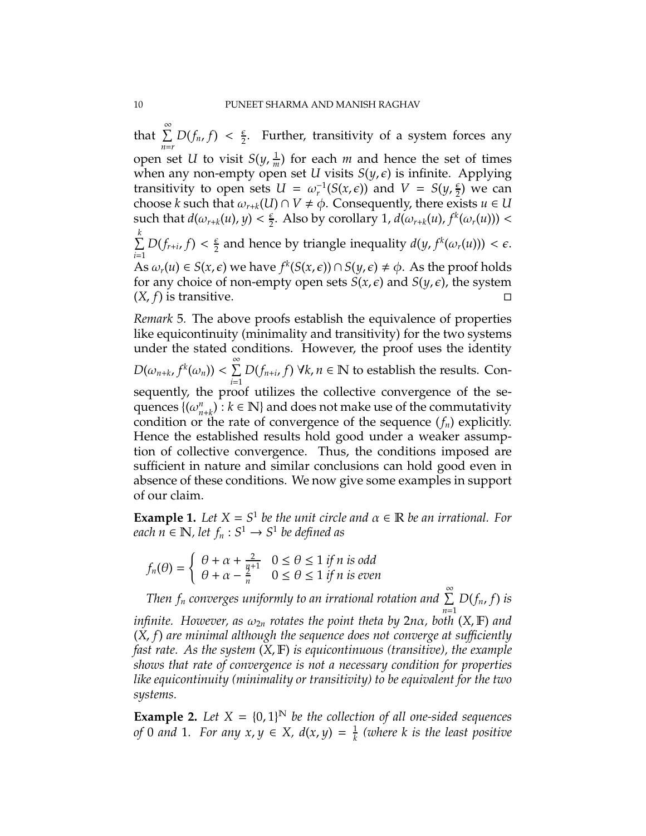that  $\sum^{\infty}$  $\sum_{n=r} D(f_n, f) < \frac{\epsilon}{2}$  $\frac{\epsilon}{2}$ . Further, transitivity of a system forces any open set *U* to visit  $S(y, \frac{1}{m})$  $\frac{1}{m}$ ) for each *m* and hence the set of times when any non-empty open set *U* visits  $S(y, \epsilon)$  is infinite. Applying transitivity to open sets  $U = \omega_r^{-1}(S(x, \epsilon))$  and  $V = S(y, \frac{\epsilon}{2})$  $\frac{e}{2}$ ) we can choose *k* such that  $\omega_{r+k}(U) \cap V \neq \emptyset$ . Consequently, there exists  $u \in U$ such that  $d(\omega_{r+k}(u), y) < \frac{\epsilon}{2}$  $\frac{\varepsilon}{2}$ . Also by corollary 1,  $d(\omega_{r+k}(u), f^k(\omega_r(u)))$  <  $\sum^k$ *i*=1  $D(f_{r+i}, f) < \frac{\epsilon}{2}$  $\frac{\epsilon}{2}$  and hence by triangle inequality  $d(y, f^k(\omega_r(u))) < \epsilon$ . As  $\omega_r(u) \in S(x, \epsilon)$  we have  $f^k(S(x, \epsilon)) \cap S(y, \epsilon) \neq \phi$ . As the proof holds for any choice of non-empty open sets  $S(x, \epsilon)$  and  $S(y, \epsilon)$ , the system  $(X, f)$  is transitive.

*Remark* 5*.* The above proofs establish the equivalence of properties like equicontinuity (minimality and transitivity) for the two systems under the stated conditions. However, the proof uses the identity

 $D(\omega_{n+k}, f^k(\omega_n)) < \sum_{n=1}^\infty$ *i*=1  $D(f_{n+i}, f)$   $\forall k, n \in \mathbb{N}$  to establish the results. Con-

sequently, the proof utilizes the collective convergence of the sequences {(ω *n*  $h_{n+k}^n$ :  $k \in \mathbb{N}$  and does not make use of the commutativity condition or the rate of convergence of the sequence (*fn*) explicitly. Hence the established results hold good under a weaker assumption of collective convergence. Thus, the conditions imposed are sufficient in nature and similar conclusions can hold good even in absence of these conditions. We now give some examples in support of our claim.

**Example 1.** Let  $X = S^1$  be the unit circle and  $\alpha \in \mathbb{R}$  be an irrational. For  $\mathcal{E}$ *each*  $n \in \mathbb{N}$ , let  $f_n : S^1 \to S^1$  be defined as

$$
f_n(\theta) = \begin{cases} \theta + \alpha + \frac{2}{n+1} & 0 \le \theta \le 1 \text{ if } n \text{ is odd} \\ \theta + \alpha - \frac{2}{n} & 0 \le \theta \le 1 \text{ if } n \text{ is even} \end{cases}
$$

 $\int_{0}^{\infty}$   $\int_{0}^{\infty}$   $\int_{0}^{\infty}$   $\int_{0}^{\infty}$   $\int_{0}^{\infty}$   $\int_{0}^{\infty}$  *Then*  $f_n$  *converges uniformly to an irrational rotation and*  $\sum_{n=1}^{\infty}$ *D*(*fn*, *f*) *is*

*n*=1 *infinite. However, as*  $\omega_{2n}$  *rotates the point theta by*  $2n\alpha$ *, both*  $(X, \mathbb{F})$  *and* (*X*, *f*) *are minimal although the sequence does not converge at su*ffi*ciently fast rate. As the system* (*X*, F) *is equicontinuous (transitive), the example shows that rate of convergence is not a necessary condition for properties like equicontinuity (minimality or transitivity) to be equivalent for the two systems.*

**Example 2.** Let  $X = \{0, 1\}^N$  be the collection of all one-sided sequences *of* 0 *and* 1*.* For any  $x, y \in X$ ,  $d(x, y) = \frac{1}{k}$ *k (where k is the least positive*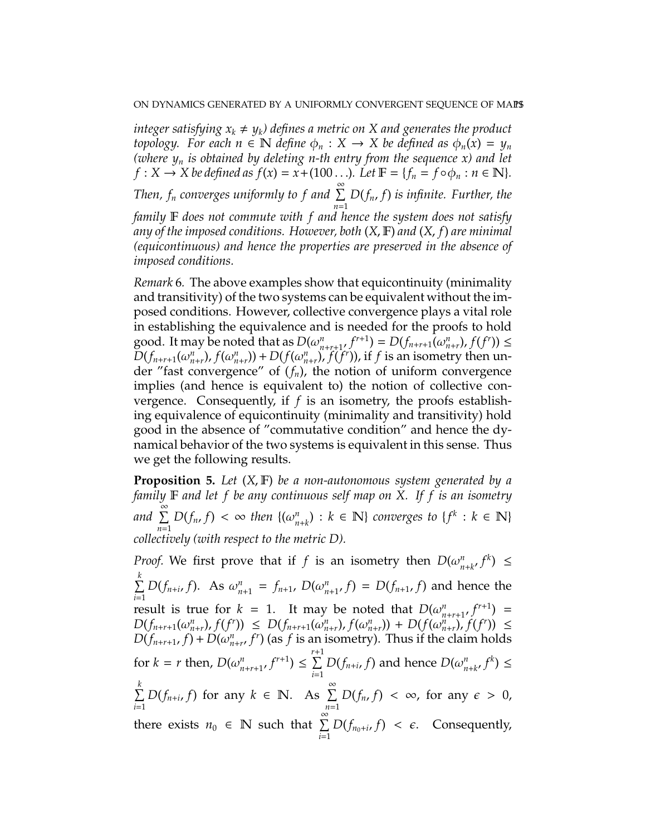*integer satisfying*  $x_k \neq y_k$ *) defines a metric on X and generates the product topology.* For each  $n \in \mathbb{N}$  *define*  $\phi_n : X \to X$  *be defined as*  $\phi_n(x) = y_n$ *(where y<sup>n</sup> is obtained by deleting n-th entry from the sequence x) and let*  $f: X \to X$  *be defined as*  $f(x) = x + (100 \dots)$ *. Let*  $\mathbb{F} = \{f_n = f \circ \phi_n : n \in \mathbb{N}\}.$ *Then, f<sub>n</sub>* converges uniformly to f and ∑ *n*=1 *D*(*fn*, *f*) *is infinite. Further, the family* F *does not commute with f and hence the system does not satisfy any of the imposed conditions. However, both* (*X*, F) *and* (*X*, *f*) *are minimal (equicontinuous) and hence the properties are preserved in the absence of imposed conditions.*

*Remark* 6*.* The above examples show that equicontinuity (minimality and transitivity) of the two systems can be equivalent without the imposed conditions. However, collective convergence plays a vital role in establishing the equivalence and is needed for the proofs to hold good. It may be noted that as  $D(\omega_{n+r+1}^n, f^{r+1}) = D(f_{n+r+1}(\omega_{n+r}^n), f(f^r)) \le$  $D(f_{n+r+1}(\omega_{n+r}^n), f(\omega_{n+r}^n)) + D(f(\omega_{n+r}^n), f(f^r)),$  if f is an isometry then under "fast convergence" of (*fn*), the notion of uniform convergence implies (and hence is equivalent to) the notion of collective convergence. Consequently, if *f* is an isometry, the proofs establishing equivalence of equicontinuity (minimality and transitivity) hold good in the absence of "commutative condition" and hence the dynamical behavior of the two systems is equivalent in this sense. Thus we get the following results.

**Proposition 5.** *Let* (*X*, F) *be a non-autonomous system generated by a family* F *and let f be any continuous self map on X. If f is an isometry* and  $\sum^{\infty}$ *n*=1 *D*(*f<sub>n</sub>*, *f*) <  $\infty$  *then* {( $\omega_{n+k}^n$ ) : *k* ∈ **N**} *converges to* {*f*<sup>*k*</sup> : *k* ∈ **N**} *collectively (with respect to the metric D).*

*Proof.* We first prove that if *f* is an isometry then  $D(\omega_{n+k}^n, f^k) \leq$  $\sum^k$ *i*=1 *D*(*f<sub>n+i</sub>*, *f*). As  $\omega_{n+1}^n = f_{n+1}$ ,  $D(\omega_{n+1}^n, f) = D(f_{n+1}, f)$  and hence the result is true for  $k = 1$ . It may be noted that  $D(\omega_{n+r+1}^n, f^{r+1}) =$  $D(f_{n+r+1}(\omega_{n+r}^n),f(f^r)) \leq D(f_{n+r+1}(\omega_{n+r}^n),f(\omega_{n+r}^n)) + D(f(\omega_{n+r}^n),f(f^r)) \leq$  $D(f_{n+r+1}, f) + D(\omega_{n+r}^n, f^r)$  (as *f* is an isometry). Thus if the claim holds for  $k = r$  then,  $D(\omega_{n+r+1}^n, f^{r+1}) \le \sum_{i=1}^{r+1}$ *i*=1  $D(f_{n+i}, f)$  and hence  $D(\omega_n^n)$  $_{n+k}^n$  $f^k$ )  $\leq$  $\sum^k$ *i*=1 *D*( $f_{n+i}$ ,  $f$ ) for any  $k \in \mathbb{N}$ . As  $\sum_{n=1}^{\infty}$ *n*=1  $D(f_n, f) < \infty$ , for any  $\epsilon > 0$ , there exists  $n_0 \in \mathbb{N}$  such that  $\sum_{n=1}^{\infty}$  $\sum_{i=1}$   $D(f_{n_0+i}, f) < \epsilon$ . Consequently,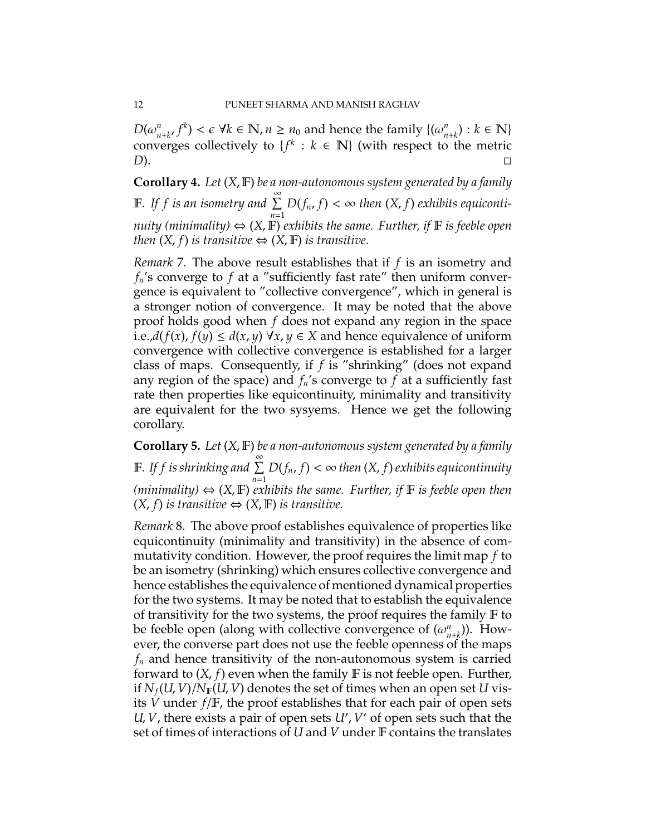*D*( $\omega_{n+k}^n$ ,  $f^k$ ) <  $\epsilon$  ∀ $k \in \mathbb{N}$ ,  $n \ge n_0$  and hence the family { $(\omega_{n+k}^n) : k \in \mathbb{N}$ } converges collectively to  $\{f^k : k \in \mathbb{N}\}\$  (with respect to the metric *D*). □

**Corollary 4.** *Let* (*X*, F) *be a non-autonomous system generated by a family* F. If f is an isometry and  $\sum^{\infty}$ *n*=1  $D(f_n, f) < \infty$  then  $(X, f)$  exhibits equiconti*nuity (minimality)*  $\Leftrightarrow$  (X, F) *exhibits the same. Further, if* F *is feeble open then*  $(X, f)$  *is transitive*  $\Leftrightarrow$   $(X, \mathbb{F})$  *is transitive.* 

*Remark* 7*.* The above result establishes that if *f* is an isometry and *fn*'s converge to *f* at a "sufficiently fast rate" then uniform convergence is equivalent to "collective convergence", which in general is a stronger notion of convergence. It may be noted that the above proof holds good when *f* does not expand any region in the space i.e., $d(f(x), f(y) ≤ d(x, y) \forall x, y ∈ X$  and hence equivalence of uniform convergence with collective convergence is established for a larger class of maps. Consequently, if *f* is "shrinking" (does not expand any region of the space) and  $f_n$ 's converge to  $f$  at a sufficiently fast rate then properties like equicontinuity, minimality and transitivity are equivalent for the two sysyems. Hence we get the following corollary.

**Corollary 5.** *Let* (*X*, F) *be a non-autonomous system generated by a family* F. If f is shrinking and  $\sum^{\infty}$ *n*=1 *D*(*fn*, *f*) < ∞ *then* (*X*, *f*)*exhibits equicontinuity* (*minimality*)  $\Leftrightarrow$  (*X*, **F**) *exhibits the same. Further, if* **F** *is feeble open then*  $(X, f)$  *is transitive*  $\Leftrightarrow$   $(X, F)$  *is transitive.* 

*Remark* 8*.* The above proof establishes equivalence of properties like equicontinuity (minimality and transitivity) in the absence of commutativity condition. However, the proof requires the limit map *f* to be an isometry (shrinking) which ensures collective convergence and hence establishes the equivalence of mentioned dynamical properties for the two systems. It may be noted that to establish the equivalence of transitivity for the two systems, the proof requires the family  $\mathbb F$  to be feeble open (along with collective convergence of (ω *n*  $n_{n+k}^{(n)}$ ). However, the converse part does not use the feeble openness of the maps *f<sup>n</sup>* and hence transitivity of the non-autonomous system is carried forward to  $(X, f)$  even when the family  $F$  is not feeble open. Further, if  $N_f(U, V)/N_F(U, V)$  denotes the set of times when an open set U visits *V* under *f*/F, the proof establishes that for each pair of open sets *U*, *V*, there exists a pair of open sets *U*′ , *V* ′ of open sets such that the set of times of interactions of *U* and *V* under F contains the translates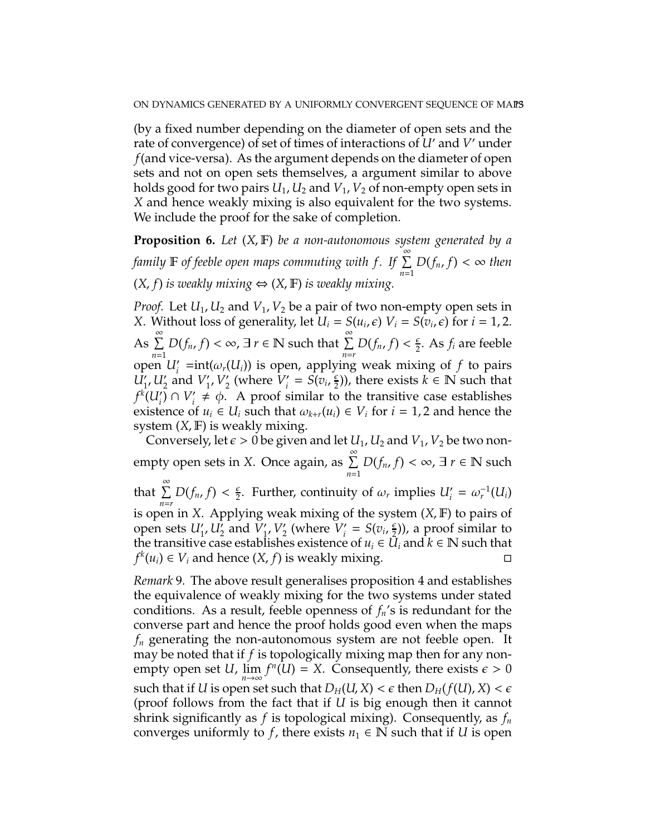(by a fixed number depending on the diameter of open sets and the rate of convergence) of set of times of interactions of *U*′ and *V* ′ under *f*(and vice-versa). As the argument depends on the diameter of open sets and not on open sets themselves, a argument similar to above holds good for two pairs  $U_1$ ,  $U_2$  and  $V_1$ ,  $V_2$  of non-empty open sets in *X* and hence weakly mixing is also equivalent for the two systems. We include the proof for the sake of completion.

**Proposition 6.** *Let* (*X*, F) *be a non-autonomous system generated by a family* <sup>F</sup> *of feeble open maps commuting with f . If* <sup>P</sup><sup>∞</sup> *n*=1  $D(f_n, f) < \infty$  then  $(X, f)$  *is weakly mixing* ⇔  $(X, F)$  *is weakly mixing.* 

*Proof.* Let *U*1, *U*<sup>2</sup> and *V*1, *V*<sup>2</sup> be a pair of two non-empty open sets in *X*. Without loss of generality, let  $U_i = S(u_i, \epsilon)$   $V_i = S(v_i, \epsilon)$  for  $i = 1, 2$ . As  $\sum^{\infty}$ *n*=1  $D(f_n, f) < \infty$ ,  $\exists r \in \mathbb{N}$  such that  $\sum_{n=r}^{\infty} D(f_n, f) < \frac{\epsilon}{2}$  $\frac{\epsilon}{2}$ . As  $f_i$  are feeble open  $U'_{i}$  =int( $\omega_{r}(U_{i})$ ) is open, applying weak mixing of *f* to pairs  $\overline{U'_1}$ ,  $U'_2$  and  $V'_1$  $'_{1'}V'_{2'}$  $\frac{7}{2}$  (where  $\bar{V}_i'$  $S(v_i, \frac{\epsilon}{2})$  $(\frac{\epsilon}{2})$ ), there exists  $k \in \mathbb{N}$  such that  $f^k(U'_i) \cap V'_i$  $\gamma$ <sup>*i*</sup>  $\neq$   $\phi$ . A proof similar to the transitive case establishes existence of  $u_i \in U_i$  such that  $\omega_{k+r}(u_i) \in V_i$  for  $i = 1, 2$  and hence the system  $(X, F)$  is weakly mixing.

Conversely, let  $\epsilon > 0$  be given and let  $U_1$ ,  $U_2$  and  $V_1$ ,  $V_2$  be two nonempty open sets in *X*. Once again, as  $\sum_{n=1}^{\infty}$ *n*=1 *D*( $f_n$ ,  $f$ ) < ∞, ∃  $r \in \mathbb{N}$  such that  $\sum^{\infty}$  $\sum_{n=r} D(f_n, f) < \frac{\epsilon}{2}$  $\frac{\epsilon}{2}$ . Further, continuity of  $\omega_r$  implies  $U'_i = \omega_r^{-1}(U_i)$ is open in *X*. Applying weak mixing of the system (*X*, F) to pairs of open sets  $U'_1$ ,  $U'_2$  and  $V'_1$  $V_1'$ ,  $V_2'$  $\frac{1}{2}$  (where  $\overline{V_i'}$  $S(v_i, \frac{\epsilon}{2})$  $(\frac{\epsilon}{2})$ ), a proof similar to the transitive case establishes existence of  $u_i \in U_i$  and  $k \in \mathbb{N}$  such that *f*<sup>*k*</sup>(*u*<sub>*i*</sub>) ∈ *V*<sub>*i*</sub> and hence (*X*, *f*) is weakly mixing.  $□$ 

*Remark* 9*.* The above result generalises proposition 4 and establishes the equivalence of weakly mixing for the two systems under stated conditions. As a result, feeble openness of *fn*'s is redundant for the converse part and hence the proof holds good even when the maps *f<sup>n</sup>* generating the non-autonomous system are not feeble open. It may be noted that if *f* is topologically mixing map then for any nonempty open set *U*,  $\lim_{n\to\infty} f^n(U) = X$ . Consequently, there exists  $\epsilon > 0$ such that if *U* is open set such that  $D_H(U, X) < \epsilon$  then  $D_H(f(U), X) < \epsilon$ (proof follows from the fact that if *U* is big enough then it cannot shrink significantly as *f* is topological mixing). Consequently, as *f<sup>n</sup>* converges uniformly to *f*, there exists  $n_1 \in \mathbb{N}$  such that if *U* is open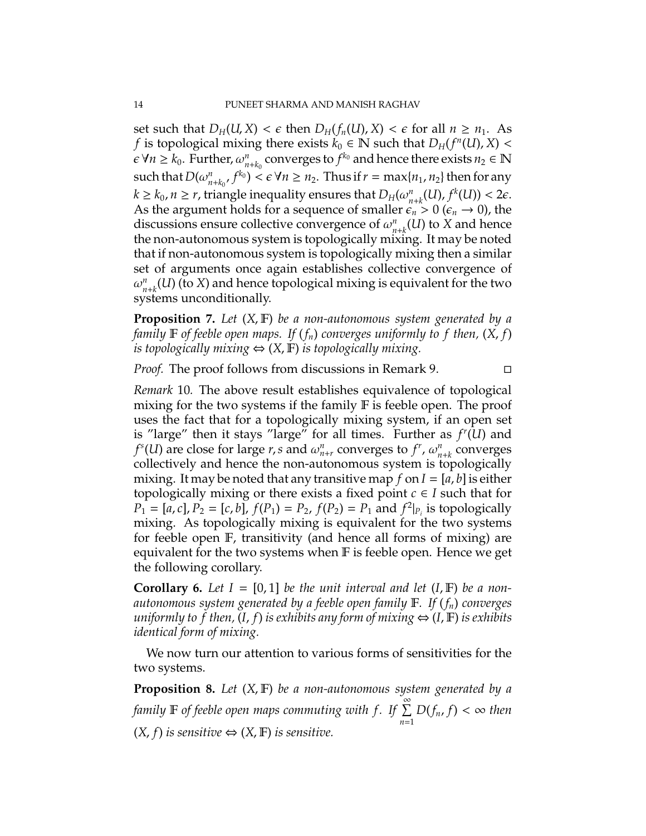set such that  $D_H(U, X) < \epsilon$  then  $D_H(f_n(U), X) < \epsilon$  for all  $n \geq n_1$ . As *f* is topological mixing there exists  $k_0 \in \mathbb{N}$  such that  $D_H(f^n(U), X) <$  $\varepsilon \forall n \geq k_0$ . Further,  $\omega_n^n$  $\sum_{n+k_0}^{n}$  converges to  $f^{k_0}$  and hence there exists  $n_2 \in \mathbb{N}$ such that  $D(\omega_{n+k_0}^n, f^{k_0}) < \epsilon \ \forall n \geq n_2$ . Thus if  $r = \max\{n_1, n_2\}$  then for any  $k \geq k_0$ ,  $n \geq r$ , triangle inequality ensures that  $D_H(\omega_n^n)$  $n_{n+k}(U), f^k(U)) < 2\epsilon.$ As the argument holds for a sequence of smaller  $\epsilon_n > 0$  ( $\epsilon_n \to 0$ ), the discussions ensure collective convergence of ω *n*  $n_{n+k}^n(U)$  to  $X$  and hence the non-autonomous system is topologically mixing. It may be noted that if non-autonomous system is topologically mixing then a similar set of arguments once again establishes collective convergence of  $\omega_n^n$  $n_{n+k}^n(U)$  (to *X*) and hence topological mixing is equivalent for the two systems unconditionally.

**Proposition 7.** *Let* (*X*, F) *be a non-autonomous system generated by a family* **F** of feeble open maps. If  $(f_n)$  converges uniformly to f then,  $(X, f)$ *is topologically mixing*  $\Leftrightarrow$   $(X, \mathbb{F})$  *is topologically mixing.* 

*Proof.* The proof follows from discussions in Remark 9.

*Remark* 10*.* The above result establishes equivalence of topological mixing for the two systems if the family  $\mathbb F$  is feeble open. The proof uses the fact that for a topologically mixing system, if an open set is "large" then it stays "large" for all times. Further as *f r* (*U*) and *f*<sup>s</sup>(*U*) are close for large *r*, *s* and  $\omega_{n+r}^n$  converges to *f<sup>r</sup>*,  $\omega_n^n$ *n*+*k* converges collectively and hence the non-autonomous system is topologically mixing. It may be noted that any transitive map  $f$  on  $I = [a, b]$  is either topologically mixing or there exists a fixed point  $c \in I$  such that for  $P_1 = [a, c], P_2 = [c, b], f(P_1) = P_2, f(P_2) = P_1$  and  $f^2|_{P_i}$  is topologically mixing. As topologically mixing is equivalent for the two systems for feeble open F, transitivity (and hence all forms of mixing) are equivalent for the two systems when F is feeble open. Hence we get the following corollary.

**Corollary 6.** Let  $I = [0, 1]$  be the unit interval and let  $(I, F)$  be a non*autonomous system generated by a feeble open family* F*. If* (*fn*) *converges uniformly to f then,*  $(I, f)$  *is exhibits any form of mixing*  $\Leftrightarrow$   $(I, F)$  *is exhibits identical form of mixing.*

We now turn our attention to various forms of sensitivities for the two systems.

**Proposition 8.** *Let* (*X*, F) *be a non-autonomous system generated by a family* <sup>F</sup> *of feeble open maps commuting with f . If* <sup>P</sup><sup>∞</sup> *n*=1  $D(f_n, f) < \infty$  then  $(X, f)$  *is sensitive*  $\Leftrightarrow$   $(X, F)$  *is sensitive.*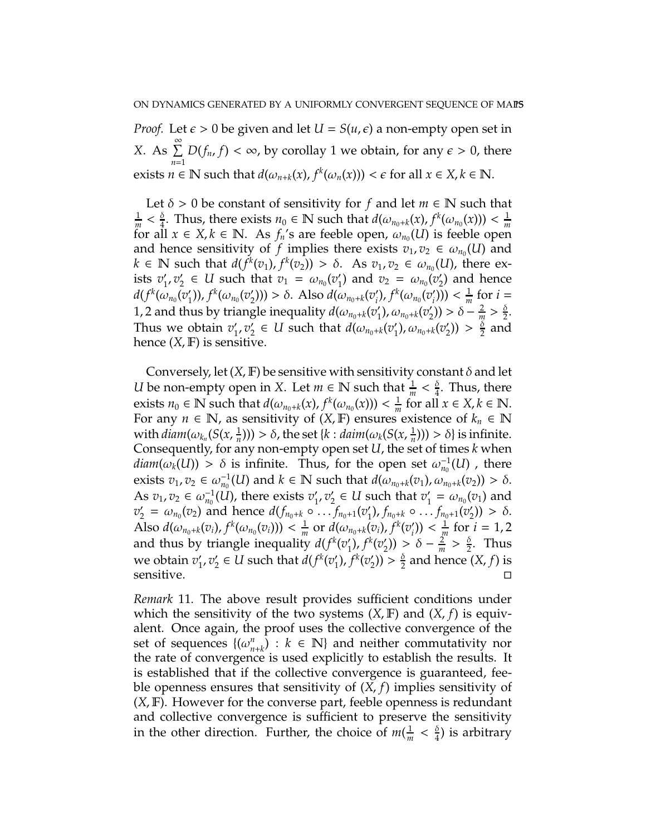*Proof.* Let  $\epsilon > 0$  be given and let  $U = S(u, \epsilon)$  a non-empty open set in *X*. As  $\sum_{n=1}^{\infty}$ *n*=1  $D(f_n, f) < \infty$ , by corollay 1 we obtain, for any  $\epsilon > 0$ , there exists  $n \in \mathbb{N}$  such that  $d(\omega_{n+k}(x), f^k(\omega_n(x))) < \epsilon$  for all  $x \in X, k \in \mathbb{N}$ .

Let  $\delta > 0$  be constant of sensitivity for *f* and let  $m \in \mathbb{N}$  such that 1  $\frac{1}{m} < \frac{\delta}{4}$  $\frac{\delta}{4}$ . Thus, there exists  $n_0 \in \mathbb{N}$  such that  $d(\omega_{n_0+k}(x), f^k(\omega_{n_0}(x))) < \frac{1}{m}$ *m* for all  $x \in X, k \in \mathbb{N}$ . As  $f_n$ 's are feeble open,  $\omega_{n_0}(U)$  is feeble open and hence sensitivity of *f* implies there exists  $v_1, v_2 \in \omega_{n_0}(U)$  and  $k \in \mathbb{N}$  such that  $d(f^k(v_1), f^k(v_2)) > \delta$ . As  $v_1, v_2 \in \omega_{n_0}(U)$ , there exists  $v_1'$  $'_{1}$ ,  $v'_{2}$  $\alpha_2' \in U$  such that  $v_1 = \omega_{n_0}(v_1')$ ( $v_1$ ) and  $v_2 = \omega_{n_0}(v_2)$  $_2'$ ) and hence  $d(f^k(\omega_{n_0}(v'_1$  $f^{k}(\omega_{n_{0}}(v_{2}^{\prime}))$ <sup>'</sup><sub>2</sub>))) > δ. Also  $d(\omega_{n_0+k}(v'_i))$  $'_{i}$ ),  $f^{k}(\omega_{n_{0}}(v_{i}'))$  $'_{i}$ ))) <  $\frac{1}{m}$  $\frac{1}{m}$  for  $i =$ 1, 2 and thus by triangle inequality  $d(\omega_{n_0+k}(v'_1))$  $'_{1}$ ),  $\omega_{n_{0}+k}(v'_{2})$  $_2')$ ) >  $\delta - \frac{2}{m}$  $\frac{2}{m} > \frac{\delta}{2}$  $\frac{0}{2}$ . Thus we obtain  $v_1$  $'_{1}, v'_{2}$  $Q'_2$   $\in$  *U* such that  $d(\omega_{n_0+k}(v'_1))$  $'_{1}$ ),  $\omega_{n_{0}+k}(v'_{2})$  $_2')$  >  $\frac{\delta}{2}$  $\frac{0}{2}$  and hence  $(X, F)$  is sensitive.

Conversely, let  $(X, \mathbb{F})$  be sensitive with sensitivity constant  $\delta$  and let *U* be non-empty open in *X*. Let  $m \in \mathbb{N}$  such that  $\frac{1}{m} < \frac{\delta}{4}$  $\frac{0}{4}$ . Thus, there exists  $n_0 \in \mathbb{N}$  such that  $d(\omega_{n_0+k}(x), f^k(\omega_{n_0}(x))) < \frac{1}{m}$  $\frac{1}{m}$  for all  $x \in X, k \in \mathbb{N}$ . For any  $n \in \mathbb{N}$ , as sensitivity of  $(X, \mathbb{F})$  ensures existence of  $k_n \in \mathbb{N}$ with  $diam(\omega_{k_n}(S(x,\frac{1}{n}$  $\frac{1}{n}$ ))) > δ, the set {*k* : *daim*(ω<sub>*k*</sub>(*S*(*x*,  $\frac{1}{n}$ )  $\frac{1}{n}$ ))) >  $\delta$ } is infinite. Consequently, for any non-empty open set *U*, the set of times *k* when  $diam(\omega_k(U)) > \delta$  is infinite. Thus, for the open set  $\omega_{n_0}^{-1}(U)$ , there exists  $v_1, v_2 \in \omega_{n_0}^{-1}(U)$  and  $k \in \mathbb{N}$  such that  $d(\omega_{n_0+k}(v_1), \omega_{n_0+k}(v_2)) > \delta$ . As  $v_1, v_2 \in \omega_{n_0}^{-1}(U)$ , there exists  $v'_1$  $'_{1}$ ,  $v'_{2}$  $v_2' \in U$  such that  $v_1'$  $\gamma_1' = \omega_{n_0}(v_1)$  and  $v_2' = \omega_{n_0}(v_2)$  and hence  $d(f_{n_0+k} \circ ... \circ f_{n_0+1}(v_1'))$  $f_{n_0+k} \circ \ldots f_{n_0+1}(v'_2)$  $'_{2})$ ) > δ. Also  $d(\omega_{n_0+k}(v_i), f^k(\omega_{n_0}(v_i))) < \frac{1}{m}$  $\frac{1}{m}$  or  $d(\omega_{n_0+k}(v_i), f^k(v'_i))$  $\binom{n}{i}$ ) <  $\frac{1}{i}$  $\frac{1}{m}$  for *i* = 1, 2 and thus by triangle inequality  $d(f^k(v'_1))$  $'_{1}$ ),  $f^{k}(v'_{2})$  $\binom{2}{2}$  >  $\delta - \frac{2}{m}$  $\frac{2}{m}$  >  $\frac{\delta}{2}$  $\frac{0}{2}$ . Thus we obtain  $v_1'$  $'_{1}$ ,  $v'_{2}$  $\mathbf{Z}'_2 \in U$  such that  $d(f^k(v'_1))$  $f_{1}^{k}(v_{2}^{\prime})$  $'_{2})\rangle > \frac{\delta}{2}$  $\frac{0}{2}$  and hence  $(X, f)$  is sensitive.

*Remark* 11*.* The above result provides sufficient conditions under which the sensitivity of the two systems (*X*, F) and (*X*, *f*) is equivalent. Once again, the proof uses the collective convergence of the set of sequences  $\{(\omega_n^n)$  $\binom{n}{n+k}$  :  $k \in \mathbb{N}$  and neither commutativity nor the rate of convergence is used explicitly to establish the results. It is established that if the collective convergence is guaranteed, feeble openness ensures that sensitivity of (*X*, *f*) implies sensitivity of (*X*, F). However for the converse part, feeble openness is redundant and collective convergence is sufficient to preserve the sensitivity in the other direction. Further, the choice of  $m(\frac{1}{m})$  $\frac{1}{m}$  <  $\frac{\delta}{4}$  $\frac{0}{4}$ ) is arbitrary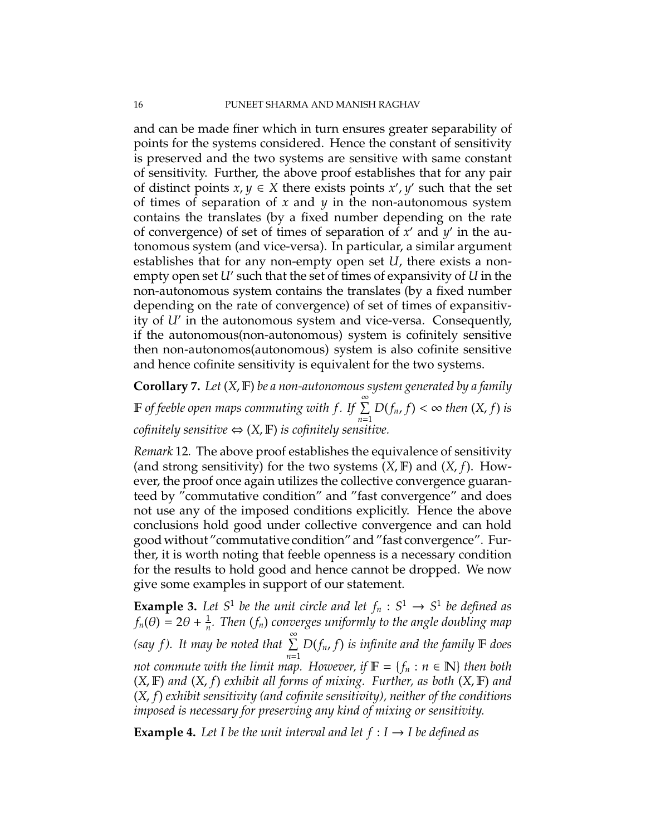and can be made finer which in turn ensures greater separability of points for the systems considered. Hence the constant of sensitivity is preserved and the two systems are sensitive with same constant of sensitivity. Further, the above proof establishes that for any pair of distinct points  $x, y \in X$  there exists points  $x', y'$  such that the set of times of separation of *x* and *y* in the non-autonomous system contains the translates (by a fixed number depending on the rate of convergence) of set of times of separation of x' and y' in the autonomous system (and vice-versa). In particular, a similar argument establishes that for any non-empty open set *U*, there exists a nonempty open set *U*′ such that the set of times of expansivity of *U* in the non-autonomous system contains the translates (by a fixed number depending on the rate of convergence) of set of times of expansitivity of *U*′ in the autonomous system and vice-versa. Consequently, if the autonomous(non-autonomous) system is cofinitely sensitive then non-autonomos(autonomous) system is also cofinite sensitive and hence cofinite sensitivity is equivalent for the two systems.

**Corollary 7.** *Let* (*X*, F) *be a non-autonomous system generated by a family* <sup>F</sup> *of feeble open maps commuting with f . If* <sup>P</sup><sup>∞</sup> *n*=1  $D(f_n, f) < \infty$  then  $(X, f)$  *is cofinitely sensitive*  $\Leftrightarrow$   $(X, \mathbb{F})$  *is cofinitely sensitive.* 

*Remark* 12*.* The above proof establishes the equivalence of sensitivity (and strong sensitivity) for the two systems (*X*, F) and (*X*, *f*). However, the proof once again utilizes the collective convergence guaranteed by "commutative condition" and "fast convergence" and does not use any of the imposed conditions explicitly. Hence the above conclusions hold good under collective convergence and can hold good without "commutative condition" and "fast convergence". Further, it is worth noting that feeble openness is a necessary condition for the results to hold good and hence cannot be dropped. We now give some examples in support of our statement.

**Example 3.** Let  $S^1$  be the unit circle and let  $f_n : S^1 \to S^1$  be defined as  $f_n(\theta) = 2\theta + \frac{1}{n}$ *n . Then* (*fn*) *converges uniformly to the angle doubling map*  $(say f)$ . It may be noted that  $\sum^{\infty}$ *n*=1 *D*(*fn*, *f*) *is infinite and the family* F *does not commute with the limit map. However, if*  $\mathbb{F} = \{f_n : n \in \mathbb{N}\}\$  *then both* (*X*, F) *and* (*X*, *f*) *exhibit all forms of mixing. Further, as both* (*X*, F) *and* (*X*, *f*) *exhibit sensitivity (and cofinite sensitivity), neither of the conditions imposed is necessary for preserving any kind of mixing or sensitivity.*

**Example 4.** Let I be the unit interval and let  $f: I \rightarrow I$  be defined as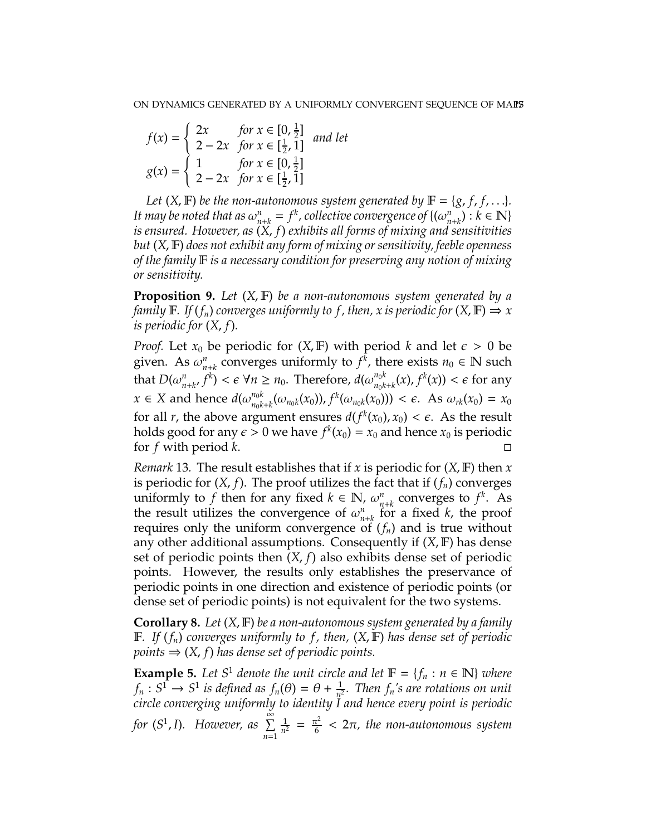$$
f(x) = \begin{cases} 2x & \text{for } x \in [0, \frac{1}{2}] \\ 2 - 2x & \text{for } x \in [\frac{1}{2}, 1] \end{cases} \text{ and let } g(x) = \begin{cases} 1 & \text{for } x \in [0, \frac{1}{2}] \\ 2 - 2x & \text{for } x \in [\frac{1}{2}, 1] \end{cases}
$$

*Let*  $(X, F)$  *be the non-autonomous system generated by*  $F = \{g, f, f, \ldots\}$ *. It may be noted that as*  $\omega_n^n$  $\mu_{n+k} = f^k$ , collective convergence of  $\{(\omega_n^n)\}$  $\binom{n}{n+k}$ :  $k \in \mathbb{N}$ *is ensured. However, as* (*X*, *f*) *exhibits all forms of mixing and sensitivities but* (*X*, F) *does not exhibit any form of mixing or sensitivity, feeble openness of the family* F *is a necessary condition for preserving any notion of mixing or sensitivity.*

**Proposition 9.** *Let* (*X*, F) *be a non-autonomous system generated by a family*  $\mathbb{F}$ *. If*  $(f_n)$  *converges uniformly to f, then, x is periodic for*  $(X, \mathbb{F}) \Rightarrow x$ *is periodic for* (*X*, *f*)*.*

*Proof.* Let  $x_0$  be periodic for  $(X, \mathbb{F})$  with period k and let  $\epsilon > 0$  be given. As  $\omega_{n+k}^n$  converges uniformly to  $f^k$ , there exists  $n_0 \in \mathbb{N}$  such that  $D(\omega_n^n)$  $m_{n+k'} f^k$ ) <  $\epsilon$   $\forall n \geq n_0$ . Therefore,  $d(\omega_{n_0k}^{n_0k})$  $\int_{n_0k+k}^{n_0k} (x)$ ,  $f^k(x)$ ) <  $\epsilon$  for any *x* ∈ *X* and hence  $d(\omega_{n_0k}^{n_0k})$  $\int_{n_0k+k}^{n_0k} (\omega_{n_0k}(x_0)) f^k(\omega_{n_0k}(x_0))) < \epsilon$ . As  $\omega_{rk}(x_0) = x_0$ for all *r*, the above argument ensures  $d(f^k(x_0), x_0) < \epsilon$ . As the result holds good for any  $\epsilon > 0$  we have  $f^k(x_0) = x_0$  and hence  $x_0$  is periodic for *f* with period *k*.

*Remark* 13*.* The result establishes that if *x* is periodic for (*X*, F) then *x* is periodic for  $(X, f)$ . The proof utilizes the fact that if  $(f_n)$  converges uniformly to *f* then for any fixed  $k \in \mathbb{N}$ ,  $\omega_n^n$  $n_{n+k}$  converges to  $f^k$ . As the result utilizes the convergence of  $\omega_{n+k}^n$  for a fixed *k*, the proof requires only the uniform convergence of  $(f_n)$  and is true without any other additional assumptions. Consequently if (*X*, F) has dense set of periodic points then (*X*, *f*) also exhibits dense set of periodic points. However, the results only establishes the preservance of periodic points in one direction and existence of periodic points (or dense set of periodic points) is not equivalent for the two systems.

**Corollary 8.** *Let* (*X*, F) *be a non-autonomous system generated by a family* F*. If* (*fn*) *converges uniformly to f , then,* (*X*, F) *has dense set of periodic points*  $\Rightarrow$   $(X, f)$  *has dense set of periodic points.* 

**Example 5.** *Let*  $S^1$  *denote the unit circle and let*  $\mathbb{F} = \{f_n : n \in \mathbb{N}\}\$  *where*  $f_n: S^1 \to S^1$  is defined as  $f_n(\theta) = \theta + \frac{1}{n^2}$ *n* 2 *. Then fn's are rotations on unit circle converging uniformly to identity I and hence every point is periodic*  $for (S^1, I)$ . *However, as*  $\sum_{n=1}^{\infty}$ *n*=1 1  $\frac{1}{n^2} = \frac{\pi^2}{6}$  $\frac{\tau}{6}$  < 2 $\pi$ , the non-autonomous system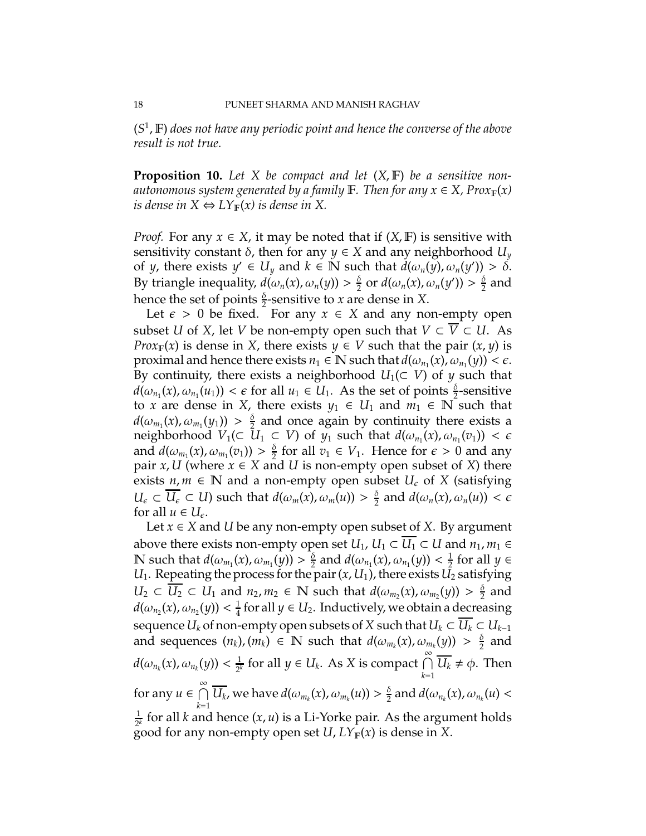(*S* 1 , F) *does not have any periodic point and hence the converse of the above result is not true.*

**Proposition 10.** *Let X be compact and let* (*X*, F) *be a sensitive nonautonomous system generated by a family* F. Then for any  $x \in X$ , Prox $_{\mathbb{F}}(x)$ *is dense in*  $X \Leftrightarrow LY_{\mathbb{F}}(x)$  *is dense in* X.

*Proof.* For any  $x \in X$ , it may be noted that if  $(X, \mathbb{F})$  is sensitive with sensitivity constant  $\delta$ , then for any  $y \in X$  and any neighborhood  $U_y$ of *y*, there exists  $y' \in U_y$  and  $k \in \mathbb{N}$  such that  $d(\omega_n(y), \omega_n(y')) > \delta$ . By triangle inequality,  $d(\omega_n(x), \omega_n(y)) > \frac{\delta}{2}$  $\frac{\delta}{2}$  or  $d(\omega_n(x), \omega_n(y')) > \frac{\delta}{2}$  $\frac{0}{2}$  and hence the set of points  $\frac{\delta}{2}$ -sensitive to *x* are dense in *X*.

Let  $\epsilon > 0$  be fixed. For any  $x \in X$  and any non-empty open subset *U* of *X*, let *V* be non-empty open such that  $V \subset \overline{V} \subset U$ . As *Prox*<sub>F</sub>(*x*) is dense in *X*, there exists *y*  $\in$  *V* such that the pair (*x*, *y*) is proximal and hence there exists  $n_1 \in \mathbb{N}$  such that  $d(\omega_{n_1}(x), \omega_{n_1}(y)) < \epsilon$ . By continuity, there exists a neighborhood  $U_1(\subset V)$  of y such that  $d(\omega_{n_1}(x), \omega_{n_1}(u_1)) < \epsilon$  for all  $u_1 \in U_1$ . As the set of points  $\frac{\delta}{2}$ -sensitive to *x* are dense in *X*, there exists  $y_1 \in U_1$  and  $m_1 \in \mathbb{N}$  such that  $d(\omega_{m_1}(x), \omega_{m_1}(y_1)) > \frac{\delta}{2}$  $\frac{6}{3}$  and once again by continuity there exists a neighborhood  $V_1(\subset U_1 \subset V)$  of  $y_1$  such that  $d(\omega_{n_1}(x), \omega_{n_1}(v_1)) < \epsilon$ and  $d(\omega_{m_1}(x), \omega_{m_1}(v_1)) > \frac{\delta}{2}$  $\frac{\delta}{2}$  for all  $v_1 \in V_1$ . Hence for  $\epsilon > 0$  and any pair *x*, *U* (where  $x \in X$  and *U* is non-empty open subset of *X*) there exists  $n, m \in \mathbb{N}$  and a non-empty open subset  $U_{\epsilon}$  of *X* (satisfying  $U_{\epsilon} \subset \overline{U_{\epsilon}} \subset U$ ) such that  $d(\omega_m(x), \omega_m(u)) > \frac{\delta}{2}$  $\frac{\alpha}{2}$  and  $d(\omega_n(x), \omega_n(u)) < \epsilon$ for all  $u \in U_{\epsilon}$ .

Let *x* ∈ *X* and *U* be any non-empty open subset of *X*. By argument above there exists non-empty open set  $U_1$ ,  $U_1 \subset \overline{U_1} \subset U$  and  $n_1, m_1 \in$  $\mathbb N$  such that  $d(\omega_{m_1}(x),\omega_{m_1}(y)) > \frac{\delta}{2}$  $\frac{\delta}{2}$  and  $d(\omega_{n_1}(x), \omega_{n_1}(y)) < \frac{1}{2}$  $\frac{1}{2}$  for all  $y \in$ *U*<sub>1</sub>. Repeating the process for the pair  $(x, U_1)$ , there exists  $U_2$  satisfying  $U_2 \subset \overline{U_2} \subset U_1$  and  $n_2, m_2 \in \mathbb{N}$  such that  $d(\omega_{m_2}(x), \omega_{m_2}(y)) > \frac{\delta}{2}$  $\frac{0}{2}$  and  $d(\omega_{n_2}(x), \omega_{n_2}(y)) < \frac{1}{4}$  $\frac{1}{4}$  for all *y* ∈ *U*<sub>2</sub>. Inductively, we obtain a decreasing sequence *U<sub>k</sub>* of non-empty open subsets of *X* such that  $U_k \subset \overline{U_k} \subset U_{k-1}$ and sequences  $(n_k)$ ,  $(m_k) \in \mathbb{N}$  such that  $d(\omega_{m_k}(x), \omega_{m_k}(y)) > \frac{\delta}{2}$  $\frac{0}{2}$  and  $d(\omega_{n_k}(x), \omega_{n_k}(y)) < \frac{1}{2^k}$  $\frac{1}{2^k}$  for all *y* ∈ *U<sub>k</sub>*. As *X* is compact  $\bigcap_{k=1}^{\infty}$ *k*=1  $\overline{U_k} \neq \phi$ . Then for any  $u \in \bigcap^{\infty}$ *k*=1  $\overline{U_k}$ , we have  $d(\omega_{m_k}(x), \omega_{m_k}(u)) > \frac{\delta}{2}$  $\frac{\partial}{\partial z}$  and  $d(\omega_{n_k}(x), \omega_{n_k}(u))$ 1  $\frac{1}{2^k}$  for all *k* and hence  $(x, u)$  is a Li-Yorke pair. As the argument holds good for any non-empty open set  $U$ ,  $LY_{\mathbb{F}}(x)$  is dense in *X*.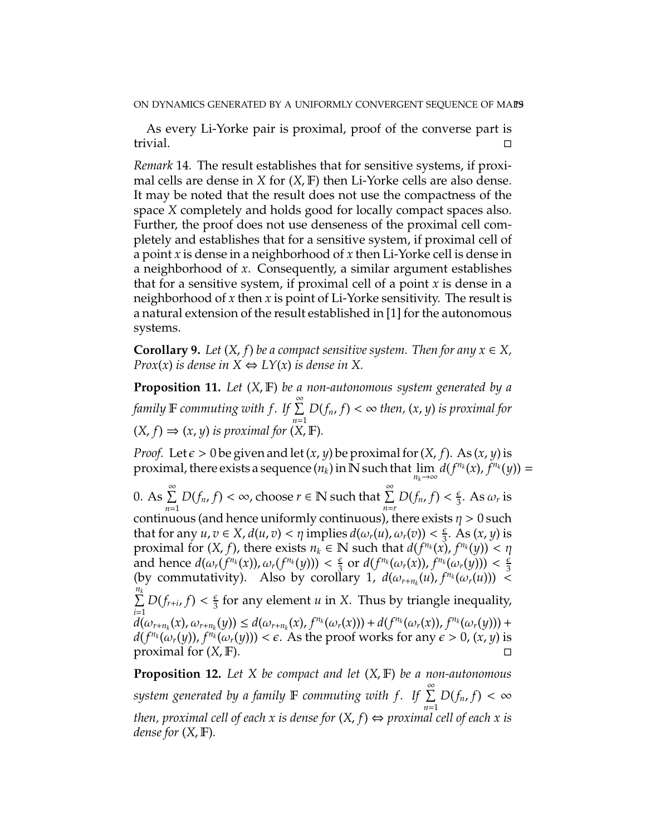As every Li-Yorke pair is proximal, proof of the converse part is trivial.

*Remark* 14*.* The result establishes that for sensitive systems, if proximal cells are dense in *X* for (*X*, F) then Li-Yorke cells are also dense. It may be noted that the result does not use the compactness of the space *X* completely and holds good for locally compact spaces also. Further, the proof does not use denseness of the proximal cell completely and establishes that for a sensitive system, if proximal cell of a point *x* is dense in a neighborhood of *x* then Li-Yorke cell is dense in a neighborhood of *x*. Consequently, a similar argument establishes that for a sensitive system, if proximal cell of a point *x* is dense in a neighborhood of *x* then *x* is point of Li-Yorke sensitivity. The result is a natural extension of the result established in [1] for the autonomous systems.

**Corollary 9.** Let  $(X, f)$  be a compact sensitive system. Then for any  $x \in X$ , *Prox*(*x*) *is dense in*  $X \Leftrightarrow LY(x)$  *is dense in*  $X$ .

**Proposition 11.** *Let* (*X*, F) *be a non-autonomous system generated by a family* <sup>F</sup> *commuting with f . If* <sup>P</sup><sup>∞</sup> *n*=1  $D(f_n, f) < \infty$  then,  $(x, y)$  is proximal for  $(X, f) \Rightarrow (x, y)$  *is proximal for*  $(X, \mathbb{F})$ *.* 

*Proof.* Let  $\epsilon > 0$  be given and let  $(x, y)$  be proximal for  $(X, f)$ . As  $(x, y)$  is proximal, there exists a sequence  $(n_k)$  in  $\overline{\mathbb{N}}$  such that  $\lim_{n_k \to \infty} d(f^{n_k}(x), f^{n_k}(y)) =$ 

0. As  $\sum_{n=1}^{\infty}$ *n*=1  $D(f_n, f) < \infty$ , choose  $r \in \mathbb{N}$  such that  $\sum_{n=r}^{\infty} D(f_n, f) < \frac{\epsilon}{3}$  $rac{\epsilon}{3}$ . As  $\omega_r$  is continuous (and hence uniformly continuous), there exists  $\eta > 0$  such that for any  $u, v \in X$ ,  $d(u, v) < \eta$  implies  $d(\omega_r(u), \omega_r(v)) < \frac{\epsilon}{3}$  $\frac{\epsilon}{3}$ . As  $(x, y)$  is proximal for  $(X, f)$ , there exists  $n_k \in \mathbb{N}$  such that  $d(f^{n_k}(x), f^{n_k}(y)) < \eta$ and hence  $d(\omega_r(f^{n_k}(x)), \omega_r(f^{n_k}(y))) < \frac{\epsilon}{3}$  $\frac{\epsilon}{3}$  or  $d(f^{n_k}(\omega_r(x)), f^{n_k}(\omega_r(y))) < \frac{\epsilon}{3}$ 3 (by commutativity). Also by corollary 1,  $d(\omega_{r+n_k}(u), f^{n_k}(\omega_r(u))) \leq$  $\sum_{k=1}^{n_k}$ *i*=1  $D(f_{r+i}, f) < \frac{\epsilon}{3}$  $\frac{\epsilon}{3}$  for any element *u* in X. Thus by triangle inequality,  $d(\omega_{r+n_k}(x), \omega_{r+n_k}(y)) \leq d(\omega_{r+n_k}(x), f^{n_k}(\omega_r(x))) + d(f^{n_k}(\omega_r(x)), f^{n_k}(\omega_r(y))) +$  $d(f^{n_k}(\omega_r(y)), f^{n_k}(\omega_r(y))) < \epsilon$ . As the proof works for any  $\epsilon > 0$ ,  $(x, y)$  is proximal for  $(X, F)$ .

**Proposition 12.** *Let X be compact and let* (*X*, F) *be a non-autonomous*  $s$ ystem generated by a family  $\mathbb F$  *commuting with f.* If  $\sum^{\infty}$ *n*=1  $D(f_n, f) < \infty$ *then, proximal cell of each x is dense for*  $(X, f) \Leftrightarrow$  proximal cell of each x is *dense for* (*X*, F)*.*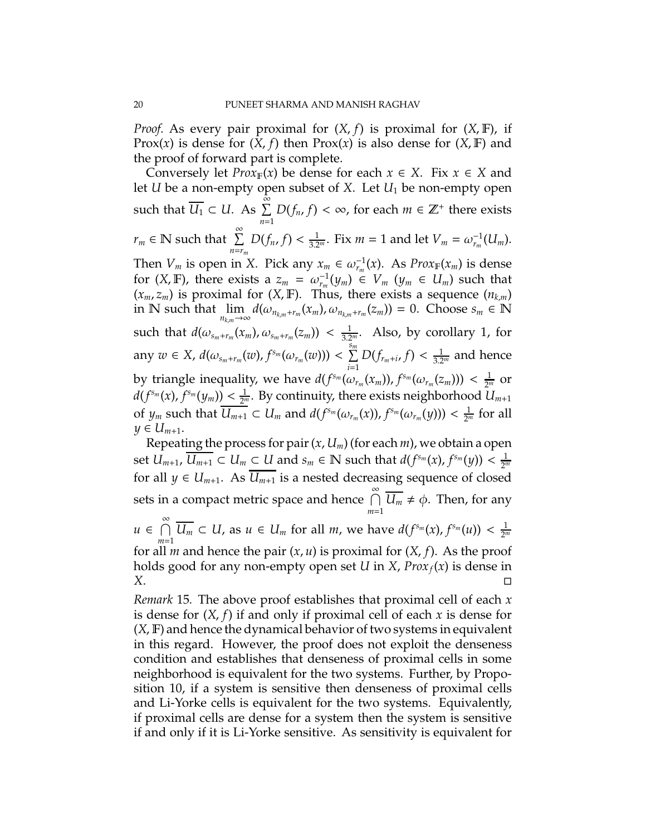*Proof.* As every pair proximal for (*X*, *f*) is proximal for (*X*, F), if Prox(*x*) is dense for  $(X, f)$  then Prox(*x*) is also dense for  $(X, F)$  and the proof of forward part is complete.

Conversely let *Prox*<sub>F</sub>(*x*) be dense for each  $x \in X$ . Fix  $x \in X$  and let *U* be a non-empty open subset of *X*. Let *U*<sup>1</sup> be non-empty open such that  $\overline{U_1} \subset U$ . As  $\sum_{n=1}^{\infty}$ *n*=1  $D(f_n, f) < \infty$ , for each  $m \in \mathbb{Z}^+$  there exists  $r_m \in \mathbb{N}$  such that  $\sum_{n=1}^{\infty}$ *n*=*r<sup>m</sup>*  $D(f_n, f) < \frac{1}{3.2^n}$ . Fix  $m = 1$  and let  $V_m = \omega_{r_m}^{-1}(U_m)$ . Then  $V_m$  is open in *X*. Pick any  $x_m \in \omega_{r_m}^{-1}(x)$ . As  $Prox_F(x_m)$  is dense for  $(X, \mathbb{F})$ , there exists a  $z_m = \omega_{r_m}^{-1}(y_m) \in V_m$   $(y_m \in U_m)$  such that  $(x_m, z_m)$  is proximal for  $(X, \mathbb{F})$ . Thus, there exists a sequence  $(n_{k,m})$ in N such that  $\lim_{n_{k,m}\to\infty} d(\omega_{n_{k,m}+r_m}(x_m), \omega_{n_{k,m}+r_m}(z_m)) = 0$ . Choose  $s_m \in \mathbb{N}$ such that  $d(\omega_{s_m+r_m}(x_m), \omega_{s_m+r_m}(z_m)) < \frac{1}{3.2^m}$ . Also, by corollary 1, for any  $w \in X$ ,  $d(\omega_{s_m+r_m}(w), f^{s_m}(\omega_{r_m}(w))) < \sum^{s_m}$  $\sum_{i=1}^{n} D(f_{r_m+i}, f) < \frac{1}{3.2^m}$  and hence by triangle inequality, we have  $d(f^{s_m}(\omega_{r_m}(x_m)), f^{s_m}(\omega_{r_m}(z_m))) < \frac{1}{2^n}$  $rac{1}{2^m}$  or  $d(f^{s_m}(x), f^{s_m}(y_m)) < \frac{1}{2^n}$ 2 *<sup>m</sup>* . By continuity, there exists neighborhood *Um*+<sup>1</sup> of  $y_m$  such that  $\overline{U_{m+1}} \subset U_m$  and  $d(f^{s_m}(\omega_{r_m}(x)), f^{s_m}(\omega_{r_m}(y))) < \frac{1}{2^m}$  for all *y* ∈  $U_{m+1}$ .

Repeating the process for pair (*x*, *Um*) (for each *m*), we obtain a open set  $U_{m+1}$ ,  $\overline{U_{m+1}} \subset U_m \subset U$  and  $s_m \in \mathbb{N}$  such that  $d(f^{s_m}(x), f^{s_m}(y)) < \frac{1}{2^m}$ for all  $y \in U_{m+1}$ . As  $\overline{U_{m+1}}$  is a nested decreasing sequence of closed sets in a compact metric space and hence  $\bigcap^{\infty}$ *m*=1  $\overline{U_m} \neq \phi$ . Then, for any

 $u \in \bigcap^{\infty}$ *m*=1  $\overline{U_m} \subset U$ , as  $u \in U_m$  for all *m*, we have  $d(f^{s_m}(x), f^{s_m}(u)) < \frac{1}{2^m}$ for all *m* and hence the pair  $(x, u)$  is proximal for  $(X, f)$ . As the proof holds good for any non-empty open set *U* in *X*, *Proxf*(*x*) is dense in *X*.

*Remark* 15*.* The above proof establishes that proximal cell of each *x* is dense for (*X*, *f*) if and only if proximal cell of each *x* is dense for (*X*, F) and hence the dynamical behavior of two systems in equivalent in this regard. However, the proof does not exploit the denseness condition and establishes that denseness of proximal cells in some neighborhood is equivalent for the two systems. Further, by Proposition 10, if a system is sensitive then denseness of proximal cells and Li-Yorke cells is equivalent for the two systems. Equivalently, if proximal cells are dense for a system then the system is sensitive if and only if it is Li-Yorke sensitive. As sensitivity is equivalent for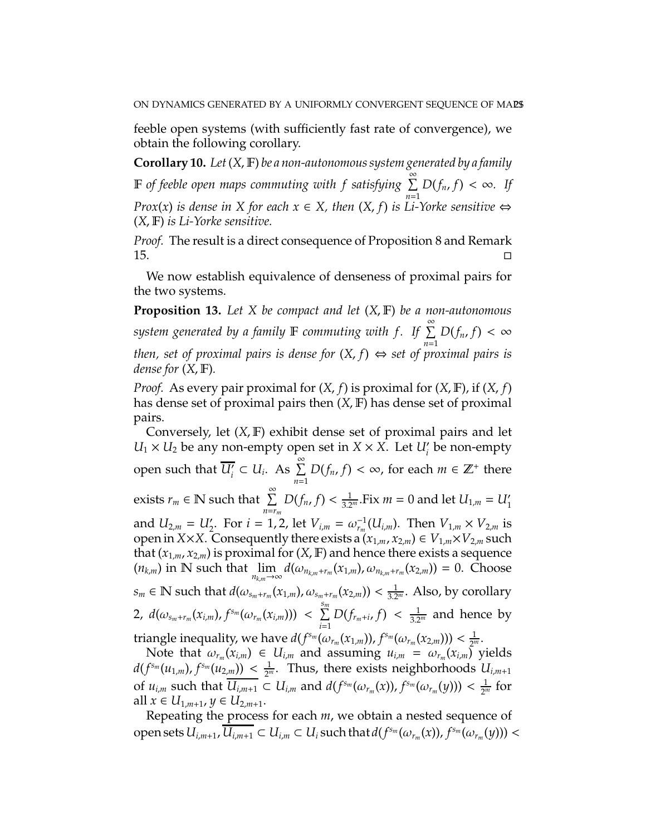feeble open systems (with sufficiently fast rate of convergence), we obtain the following corollary.

**Corollary 10.** *Let*(*X*, F) *be a non-autonomous system generated by a family IF of feeble open maps commuting with f satisfying* $\sum_{n=1}^{\infty} D(f_n, f) < \infty$ **. If** *Prox*(*x*) *is dense in X* for each  $x \in X$ , then  $(X, f)$  *is Li-Yorke sensitive* ⇔ (*X*, F) *is Li-Yorke sensitive.*

*Proof.* The result is a direct consequence of Proposition 8 and Remark  $\overline{15}$ .

We now establish equivalence of denseness of proximal pairs for the two systems.

**Proposition 13.** *Let X be compact and let* (*X*, F) *be a non-autonomous*  $s$ *ystem generated by a family* F *commuting with f. If*  $\sum^{\infty}$ *n*=1  $D(f_n, f) < \infty$ *then, set of proximal pairs is dense for*  $(X, f) \Leftrightarrow$  set of proximal pairs is *dense for* (*X*, F)*.*

*Proof.* As every pair proximal for (*X*, *f*) is proximal for (*X*, F), if (*X*, *f*) has dense set of proximal pairs then (*X*, F) has dense set of proximal pairs.

Conversely, let (*X*, F) exhibit dense set of proximal pairs and let  $U_1 \times U_2$  be any non-empty open set in  $X \times X$ . Let  $U_i'$  be non-empty *i* open such that  $\overline{U'_i} \subset U_i$ . As  $\sum_{i=1}^{\infty}$ *n*=1  $D(f_n, f) < \infty$ , for each  $m \in \mathbb{Z}^+$  there exists  $r_m \in \mathbb{N}$  such that  $\sum_{n=1}^{\infty}$ *n*=*r<sup>m</sup>*  $D(f_n, f) < \frac{1}{3.2^n}$ .Fix *m* = 0 and let  $U_{1,m} = U'_1$ and  $U_{2,m} = U'_2$ . For  $i = 1, 2$ , let  $V_{i,m} = \omega_{r_m}^{-1}(U_{i,m})$ . Then  $V_{1,m} \times V_{2,m}$  is open in *X*×*X*. Consequently there exists a  $(x_{1,m}, x_{2,m}) \in V_{1,m} \times V_{2,m}$  such that  $(x_{1,m}, x_{2,m})$  is proximal for  $(X, F)$  and hence there exists a sequence  $(n_{k,m})$  in N such that  $\lim_{n_{k,m}\to\infty} d(\omega_{n_{k,m}+r_m}(x_{1,m}), \omega_{n_{k,m}+r_m}(x_{2,m})) = 0$ . Choose  $s_m \in \mathbb{N}$  such that  $d(\omega_{s_m+r_m}(x_{1,m}), \omega_{s_m+r_m}(x_{2,m})) < \frac{1}{3.2^m}$ . Also, by corollary 2,  $d(\omega_{s_m+r_m}(x_{i,m}), f^{s_m}(\omega_{r_m}(x_{i,m})))$  <  $\sum^{s_m}$  $\sum_{i=1}^{n} D(f_{r_m+i}, f) < \frac{1}{3.2^m}$  and hence by triangle inequality, we have  $d(f^{s_m}(\omega_{r_m}(x_{1,m})), f^{s_m}(\omega_{r_m}(x_{2,m}))) < \frac{1}{2^n}$  $\frac{1}{2^m}$ .

Note that  $\omega_{r_m}(x_{i,m}) \in U_{i,m}$  and assuming  $u_{i,m} = \omega_{r_m}(x_{i,m})$  yields  $d(f^{s_m}(u_{1,m}), f^{s_m}(u_{2,m})) < \frac{1}{2^m}$ . Thus, there exists neighborhoods  $U_{i,m+1}$ of  $u_{i,m}$  such that  $\overline{U_{i,m+1}} \subset U_{i,m}$  and  $d(f^{s_m}(\omega_{r_m}(x)), f^{s_m}(\omega_{r_m}(y))) < \frac{1}{2^m}$  for all *x* ∈ *U*<sub>1,*m*+1</sub>, *y* ∈ *U*<sub>2,*m*+1</sub>.

Repeating the process for each *m*, we obtain a nested sequence of open sets  $U_{i,m+1}$ ,  $\overline{U_{i,m+1}}\subset U_{i,m}\subset U_i$  such that  $d(f^{s_m}(\omega_{r_m}(x)),f^{s_m}(\omega_{r_m}(y)))<$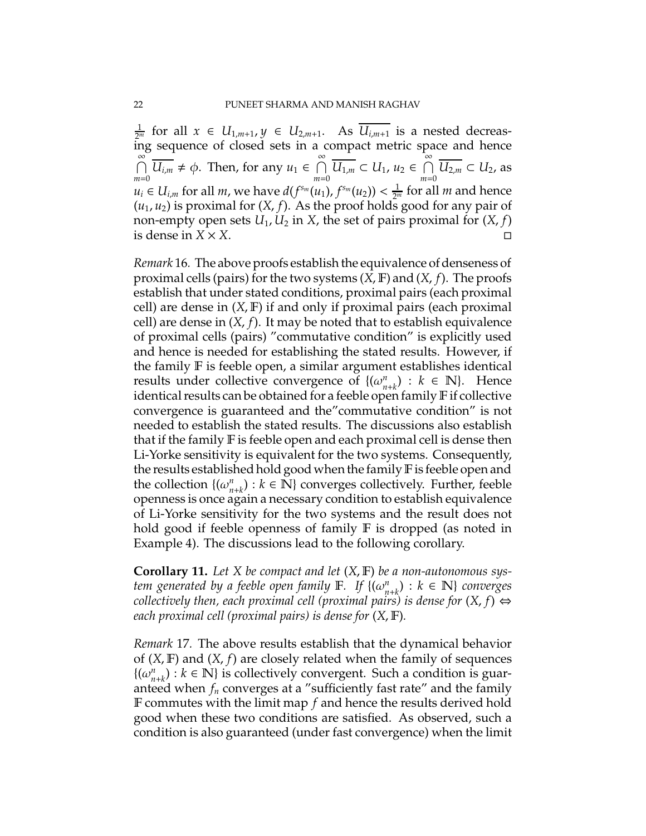$\frac{1}{2^m}$  for all *x* ∈ *U*<sub>1,*m*+1</sub>, *y* ∈ *U*<sub>2,*m*+1</sub>. As  $\overline{U_{i,m+1}}$  is a nested decreasing sequence of closed sets in a compact metric space and hence  $\bigcap^{\infty}$  $\bigcap_{m=0}^{\infty} \overline{U_{i,m}} \neq \phi$ . Then, for any  $u_1 \in \bigcap_{m=0}^{\infty}$  $\bigcap_{m=0}^{\infty} \overline{U_{1,m}} \subset U_1, u_2 \in \bigcap_{m=0}^{\infty}$ *m*=0 *U*<sup>2</sup>,*<sup>m</sup>* ⊂ *U*2, as  $u_i \in U_{i,m}$  for all *m*, we have  $d(f^{s_m}(u_1), f^{s_m}(u_2)) < \frac{1}{2^m}$  for all *m* and hence  $(u_1, u_2)$  is proximal for  $(X, f)$ . As the proof holds good for any pair of non-empty open sets  $U_1, U_2$  in  $X$ , the set of pairs proximal for  $(X, f)$ is dense in  $X \times X$ .

*Remark* 16*.* The above proofs establish the equivalence of denseness of proximal cells (pairs) for the two systems (*X*, F) and (*X*, *f*). The proofs establish that under stated conditions, proximal pairs (each proximal cell) are dense in (*X*, F) if and only if proximal pairs (each proximal cell) are dense in (*X*, *f*). It may be noted that to establish equivalence of proximal cells (pairs) "commutative condition" is explicitly used and hence is needed for establishing the stated results. However, if the family F is feeble open, a similar argument establishes identical results under collective convergence of  ${(\omega_n^n)}$  $\binom{n}{n+k}$  :  $k \in \mathbb{N}$ . Hence identical results can be obtained for a feeble open family  $F$  if collective convergence is guaranteed and the"commutative condition" is not needed to establish the stated results. The discussions also establish that if the family F is feeble open and each proximal cell is dense then Li-Yorke sensitivity is equivalent for the two systems. Consequently, the results established hold good when the family  $F$  is feeble open and the collection  $\{(\omega_{n+k}^n): k \in \mathbb{N}\}$  converges collectively. Further, feeble openness is once again a necessary condition to establish equivalence of Li-Yorke sensitivity for the two systems and the result does not hold good if feeble openness of family **F** is dropped (as noted in Example 4). The discussions lead to the following corollary.

**Corollary 11.** *Let X be compact and let* (*X*, F) *be a non-autonomous system generated by a feeble open family* F*. If* {(ω *n n*+*k* ) : *k* ∈ N} *converges collectively then, each proximal cell (proximal pairs) is dense for*  $(X, f) \Leftrightarrow$ *each proximal cell (proximal pairs) is dense for* (*X*, F)*.*

*Remark* 17*.* The above results establish that the dynamical behavior of (*X*, F) and (*X*, *f*) are closely related when the family of sequences  $\{\left(\omega_{n}^{n}\right)$  $h_{n+k}^n$  :  $k \in \mathbb{N}$  is collectively convergent. Such a condition is guaranteed when *f<sup>n</sup>* converges at a "sufficiently fast rate" and the family F commutes with the limit map *f* and hence the results derived hold good when these two conditions are satisfied. As observed, such a condition is also guaranteed (under fast convergence) when the limit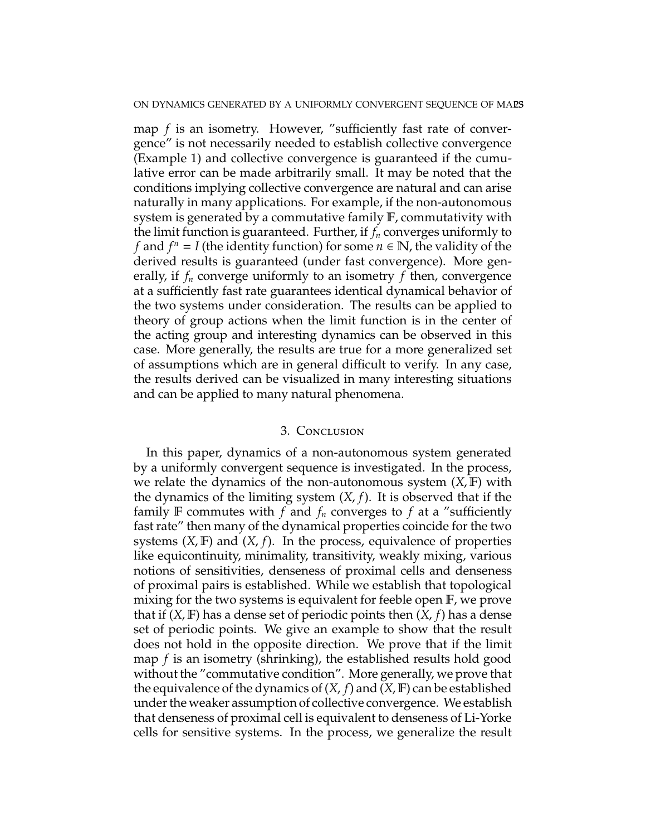map *f* is an isometry. However, "sufficiently fast rate of convergence" is not necessarily needed to establish collective convergence (Example 1) and collective convergence is guaranteed if the cumulative error can be made arbitrarily small. It may be noted that the conditions implying collective convergence are natural and can arise naturally in many applications. For example, if the non-autonomous system is generated by a commutative family F, commutativity with the limit function is guaranteed. Further, if *f<sup>n</sup>* converges uniformly to *f* and  $f^n = I$  (the identity function) for some  $n \in \mathbb{N}$ , the validity of the derived results is guaranteed (under fast convergence). More generally, if *f<sup>n</sup>* converge uniformly to an isometry *f* then, convergence at a sufficiently fast rate guarantees identical dynamical behavior of the two systems under consideration. The results can be applied to theory of group actions when the limit function is in the center of the acting group and interesting dynamics can be observed in this case. More generally, the results are true for a more generalized set of assumptions which are in general difficult to verify. In any case, the results derived can be visualized in many interesting situations and can be applied to many natural phenomena.

### 3. Conclusion

In this paper, dynamics of a non-autonomous system generated by a uniformly convergent sequence is investigated. In the process, we relate the dynamics of the non-autonomous system (*X*, F) with the dynamics of the limiting system (*X*, *f*). It is observed that if the family F commutes with  $f$  and  $f_n$  converges to  $f$  at a "sufficiently fast rate" then many of the dynamical properties coincide for the two systems  $(X, F)$  and  $(X, f)$ . In the process, equivalence of properties like equicontinuity, minimality, transitivity, weakly mixing, various notions of sensitivities, denseness of proximal cells and denseness of proximal pairs is established. While we establish that topological mixing for the two systems is equivalent for feeble open F, we prove that if (*X*, F) has a dense set of periodic points then (*X*, *f*) has a dense set of periodic points. We give an example to show that the result does not hold in the opposite direction. We prove that if the limit map *f* is an isometry (shrinking), the established results hold good without the "commutative condition". More generally, we prove that the equivalence of the dynamics of  $(X, f)$  and  $(X, F)$  can be established under the weaker assumption of collective convergence. We establish that denseness of proximal cell is equivalent to denseness of Li-Yorke cells for sensitive systems. In the process, we generalize the result